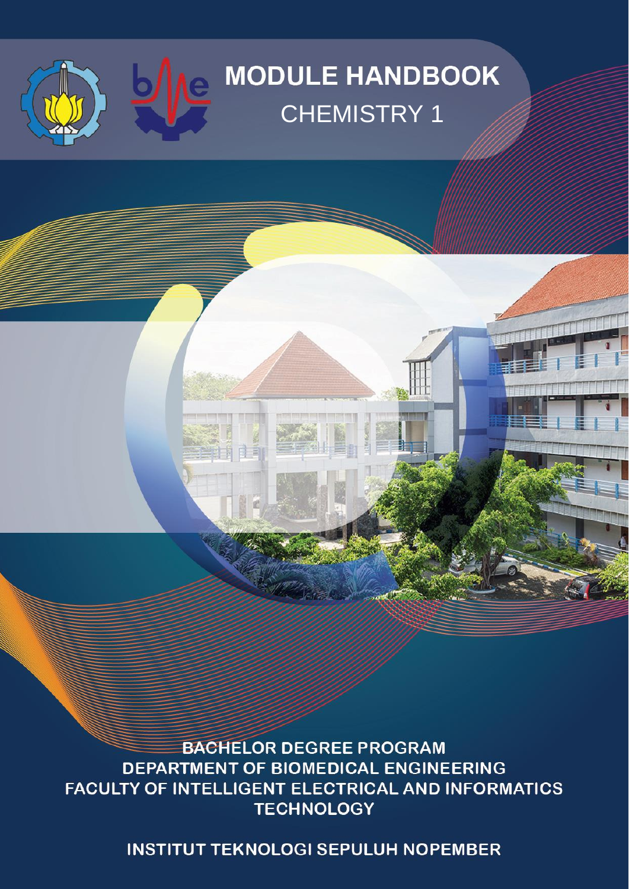# **MODULE HANDBOOK** CHEMISTRY 1

**BACHELOR DEGREE PROGRAM** DEPARTMENT OF BIOMEDICAL ENGINEERING FACULTY OF INTELLIGENT ELECTRICAL AND INFORMATICS **TECHNOLOGY** 

自由言

**INSTITUT TEKNOLOGI SEPULUH NOPEMBER**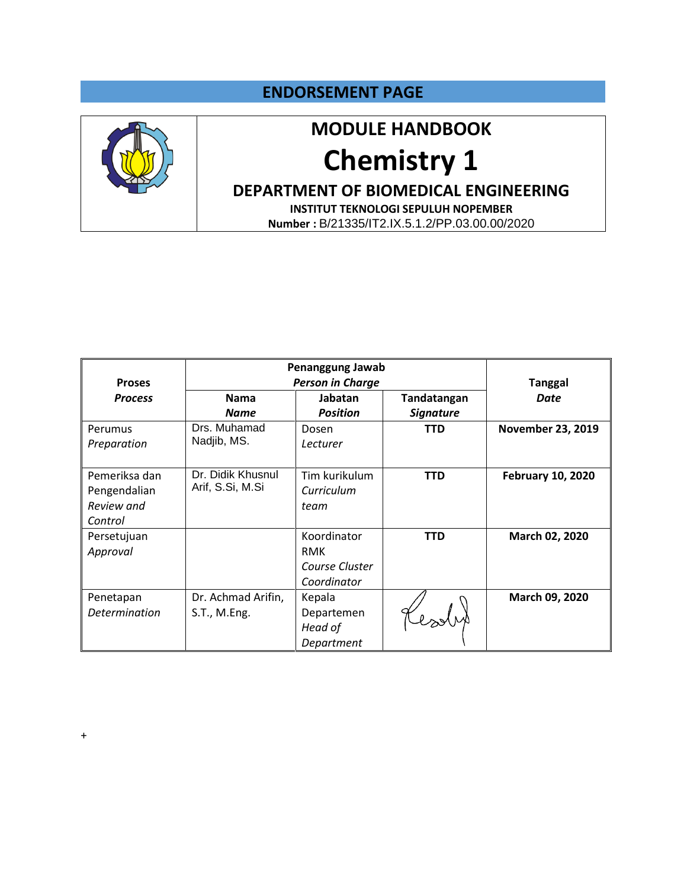#### **ENDORSEMENT PAGE**



### **MODULE HANDBOOK**

# **Chemistry 1**

### **DEPARTMENT OF BIOMEDICAL ENGINEERING**

**INSTITUT TEKNOLOGI SEPULUH NOPEMBER Number :** B/21335/IT2.IX.5.1.2/PP.03.00.00/2020

|                      | Penanggung Jawab        |                 |                  |                          |  |  |
|----------------------|-------------------------|-----------------|------------------|--------------------------|--|--|
| <b>Proses</b>        | <b>Person in Charge</b> |                 | <b>Tanggal</b>   |                          |  |  |
| <b>Process</b>       | <b>Nama</b>             | Jabatan         | Tandatangan      | <b>Date</b>              |  |  |
|                      | <b>Name</b>             | <b>Position</b> | <b>Signature</b> |                          |  |  |
| Perumus              | Drs. Muhamad            | Dosen           | <b>TTD</b>       | <b>November 23, 2019</b> |  |  |
| Preparation          | Nadjib, MS.             | Lecturer        |                  |                          |  |  |
|                      |                         |                 |                  |                          |  |  |
| Pemeriksa dan        | Dr. Didik Khusnul       | Tim kurikulum   | <b>TTD</b>       | <b>February 10, 2020</b> |  |  |
| Pengendalian         | Arif, S.Si, M.Si        | Curriculum      |                  |                          |  |  |
| Review and           |                         | team            |                  |                          |  |  |
| Control              |                         |                 |                  |                          |  |  |
| Persetujuan          |                         | Koordinator     | <b>TTD</b>       | March 02, 2020           |  |  |
| Approval             |                         | <b>RMK</b>      |                  |                          |  |  |
|                      |                         | Course Cluster  |                  |                          |  |  |
|                      |                         | Coordinator     |                  |                          |  |  |
| Penetapan            | Dr. Achmad Arifin,      | Kepala          |                  | March 09, 2020           |  |  |
| <b>Determination</b> | S.T., M.Eng.            | Departemen      |                  |                          |  |  |
|                      |                         | Head of         |                  |                          |  |  |
|                      |                         | Department      |                  |                          |  |  |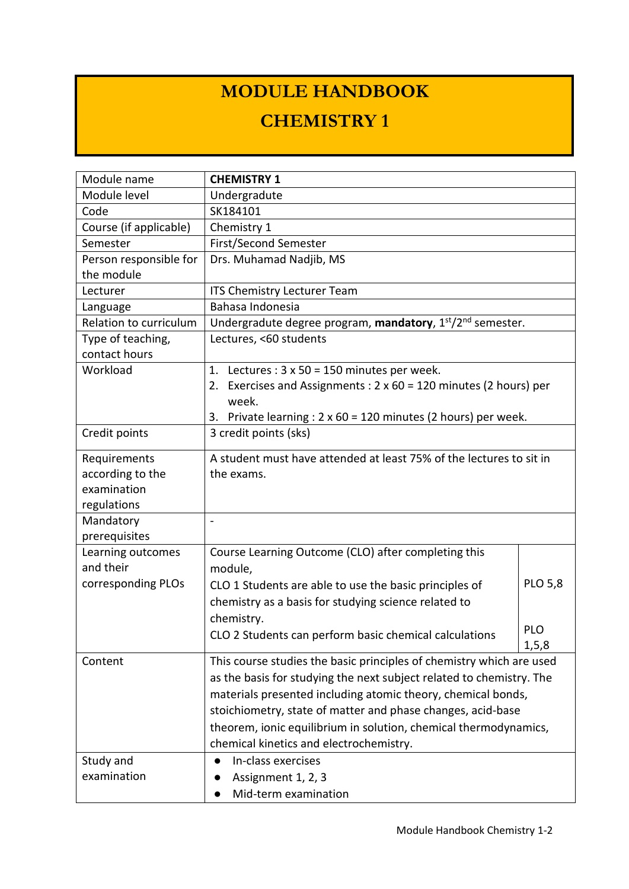## **MODULE HANDBOOK**

## **CHEMISTRY 1**

| Module name            | <b>CHEMISTRY 1</b>                                                          |                |  |  |  |  |
|------------------------|-----------------------------------------------------------------------------|----------------|--|--|--|--|
| Module level           | Undergradute                                                                |                |  |  |  |  |
| Code                   | SK184101                                                                    |                |  |  |  |  |
| Course (if applicable) | Chemistry 1                                                                 |                |  |  |  |  |
| Semester               | First/Second Semester                                                       |                |  |  |  |  |
| Person responsible for | Drs. Muhamad Nadjib, MS                                                     |                |  |  |  |  |
| the module             |                                                                             |                |  |  |  |  |
| Lecturer               | ITS Chemistry Lecturer Team                                                 |                |  |  |  |  |
| Language               | Bahasa Indonesia                                                            |                |  |  |  |  |
| Relation to curriculum | Undergradute degree program, mandatory, 1st/2nd semester.                   |                |  |  |  |  |
| Type of teaching,      | Lectures, <60 students                                                      |                |  |  |  |  |
| contact hours          |                                                                             |                |  |  |  |  |
| Workload               | Lectures : $3 \times 50 = 150$ minutes per week.<br>1.                      |                |  |  |  |  |
|                        | Exercises and Assignments : $2 \times 60 = 120$ minutes (2 hours) per<br>2. |                |  |  |  |  |
|                        | week.                                                                       |                |  |  |  |  |
|                        | Private learning : 2 x 60 = 120 minutes (2 hours) per week.<br>3.           |                |  |  |  |  |
| Credit points          | 3 credit points (sks)                                                       |                |  |  |  |  |
| Requirements           | A student must have attended at least 75% of the lectures to sit in         |                |  |  |  |  |
| according to the       | the exams.                                                                  |                |  |  |  |  |
| examination            |                                                                             |                |  |  |  |  |
| regulations            |                                                                             |                |  |  |  |  |
| Mandatory              | $\overline{a}$                                                              |                |  |  |  |  |
| prerequisites          |                                                                             |                |  |  |  |  |
| Learning outcomes      | Course Learning Outcome (CLO) after completing this                         |                |  |  |  |  |
| and their              | module,                                                                     |                |  |  |  |  |
| corresponding PLOs     | CLO 1 Students are able to use the basic principles of                      | <b>PLO 5,8</b> |  |  |  |  |
|                        | chemistry as a basis for studying science related to                        |                |  |  |  |  |
|                        | chemistry.                                                                  |                |  |  |  |  |
|                        | CLO 2 Students can perform basic chemical calculations                      | <b>PLO</b>     |  |  |  |  |
|                        |                                                                             | 1, 5, 8        |  |  |  |  |
| Content                | This course studies the basic principles of chemistry which are used        |                |  |  |  |  |
|                        | as the basis for studying the next subject related to chemistry. The        |                |  |  |  |  |
|                        | materials presented including atomic theory, chemical bonds,                |                |  |  |  |  |
|                        | stoichiometry, state of matter and phase changes, acid-base                 |                |  |  |  |  |
|                        | theorem, ionic equilibrium in solution, chemical thermodynamics,            |                |  |  |  |  |
|                        | chemical kinetics and electrochemistry.                                     |                |  |  |  |  |
| Study and              | In-class exercises                                                          |                |  |  |  |  |
| examination            | Assignment 1, 2, 3                                                          |                |  |  |  |  |
|                        | Mid-term examination                                                        |                |  |  |  |  |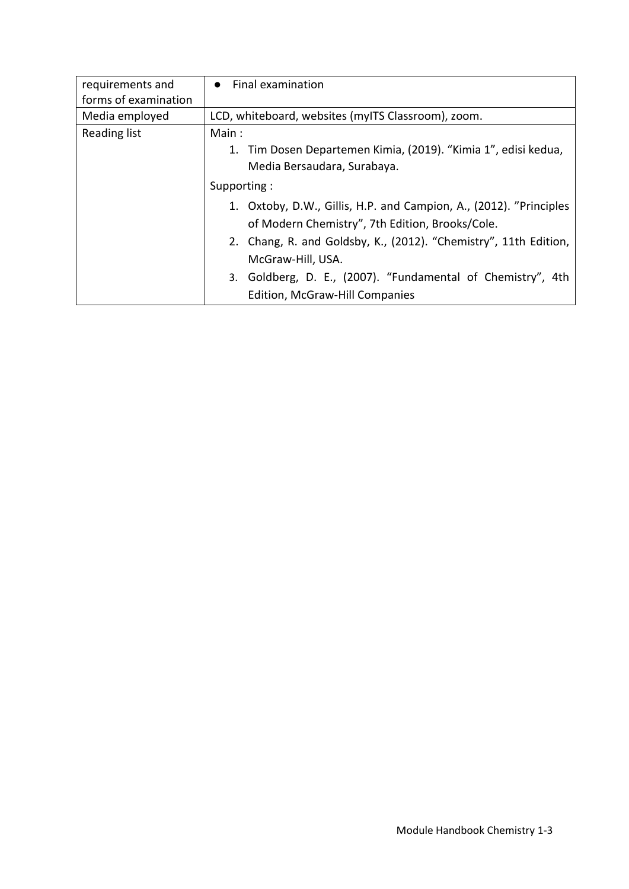| requirements and     | • Final examination                                                |
|----------------------|--------------------------------------------------------------------|
| forms of examination |                                                                    |
| Media employed       | LCD, whiteboard, websites (myITS Classroom), zoom.                 |
| <b>Reading list</b>  | Main:                                                              |
|                      | 1. Tim Dosen Departemen Kimia, (2019). "Kimia 1", edisi kedua,     |
|                      | Media Bersaudara, Surabaya.                                        |
|                      | Supporting:                                                        |
|                      | 1. Oxtoby, D.W., Gillis, H.P. and Campion, A., (2012). "Principles |
|                      | of Modern Chemistry", 7th Edition, Brooks/Cole.                    |
|                      | 2. Chang, R. and Goldsby, K., (2012). "Chemistry", 11th Edition,   |
|                      | McGraw-Hill, USA.                                                  |
|                      | 3. Goldberg, D. E., (2007). "Fundamental of Chemistry", 4th        |
|                      | Edition, McGraw-Hill Companies                                     |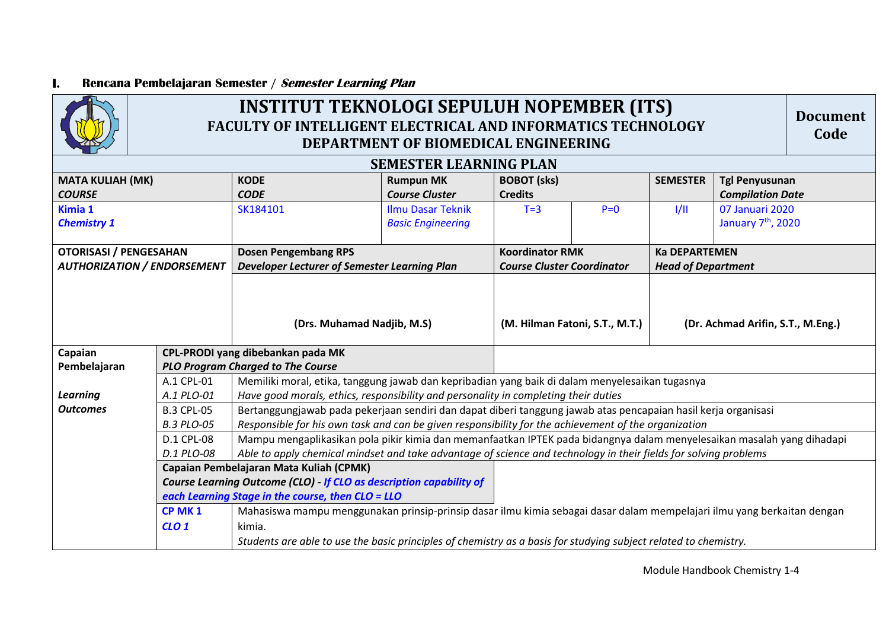#### **I. Rencana Pembelajaran Semester / Semester Learning Plan**

 $\overline{A}$ 

Г

| <b>INSTITUT TEKNOLOGI SEPULUH NOPEMBER (ITS)</b><br><b>Document</b><br><b>FACULTY OF INTELLIGENT ELECTRICAL AND INFORMATICS TECHNOLOGY</b><br>Code<br>DEPARTMENT OF BIOMEDICAL ENGINEERING                                                                                                                                                                                                                                                                                                                                                                                                                                                                                                                                                                                                                                                                                                                                                                                              |                                              |                                      |                                                             |                                                   |                                                   |                                                                                                                                                                                                                                             |  |  |
|-----------------------------------------------------------------------------------------------------------------------------------------------------------------------------------------------------------------------------------------------------------------------------------------------------------------------------------------------------------------------------------------------------------------------------------------------------------------------------------------------------------------------------------------------------------------------------------------------------------------------------------------------------------------------------------------------------------------------------------------------------------------------------------------------------------------------------------------------------------------------------------------------------------------------------------------------------------------------------------------|----------------------------------------------|--------------------------------------|-------------------------------------------------------------|---------------------------------------------------|---------------------------------------------------|---------------------------------------------------------------------------------------------------------------------------------------------------------------------------------------------------------------------------------------------|--|--|
| <b>SEMESTER LEARNING PLAN</b>                                                                                                                                                                                                                                                                                                                                                                                                                                                                                                                                                                                                                                                                                                                                                                                                                                                                                                                                                           |                                              |                                      |                                                             |                                                   |                                                   |                                                                                                                                                                                                                                             |  |  |
| <b>MATA KULIAH (MK)</b><br><b>KODE</b><br><b>CODE</b>                                                                                                                                                                                                                                                                                                                                                                                                                                                                                                                                                                                                                                                                                                                                                                                                                                                                                                                                   | <b>Rumpun MK</b><br><b>Course Cluster</b>    | <b>BOBOT</b> (sks)<br><b>Credits</b> |                                                             | <b>SEMESTER</b>                                   | <b>Tgl Penyusunan</b><br><b>Compilation Date</b>  |                                                                                                                                                                                                                                             |  |  |
| Kimia 1<br><b>Ilmu Dasar Teknik</b><br>SK184101<br><b>Chemistry 1</b><br><b>Basic Engineering</b>                                                                                                                                                                                                                                                                                                                                                                                                                                                                                                                                                                                                                                                                                                                                                                                                                                                                                       |                                              | $T = 3$                              | $P=0$                                                       | 1/11                                              | 07 Januari 2020<br>January 7 <sup>th</sup> , 2020 |                                                                                                                                                                                                                                             |  |  |
| <b>Dosen Pengembang RPS</b><br><b>OTORISASI / PENGESAHAN</b><br><b>AUTHORIZATION / ENDORSEMENT</b>                                                                                                                                                                                                                                                                                                                                                                                                                                                                                                                                                                                                                                                                                                                                                                                                                                                                                      | Developer Lecturer of Semester Learning Plan |                                      | <b>Koordinator RMK</b><br><b>Course Cluster Coordinator</b> | <b>Ka DEPARTEMEN</b><br><b>Head of Department</b> |                                                   |                                                                                                                                                                                                                                             |  |  |
| CPL-PRODI yang dibebankan pada MK                                                                                                                                                                                                                                                                                                                                                                                                                                                                                                                                                                                                                                                                                                                                                                                                                                                                                                                                                       | (Drs. Muhamad Nadjib, M.S)                   |                                      | (M. Hilman Fatoni, S.T., M.T.)                              |                                                   | (Dr. Achmad Arifin, S.T., M.Eng.)                 |                                                                                                                                                                                                                                             |  |  |
| <b>PLO Program Charged to The Course</b><br>Pembelajaran                                                                                                                                                                                                                                                                                                                                                                                                                                                                                                                                                                                                                                                                                                                                                                                                                                                                                                                                |                                              |                                      |                                                             |                                                   |                                                   |                                                                                                                                                                                                                                             |  |  |
| A.1 CPL-01<br>Memiliki moral, etika, tanggung jawab dan kepribadian yang baik di dalam menyelesaikan tugasnya<br>A.1 PLO-01<br>Have good morals, ethics, responsibility and personality in completing their duties<br>Bertanggungjawab pada pekerjaan sendiri dan dapat diberi tanggung jawab atas pencapaian hasil kerja organisasi<br><b>B.3 CPL-05</b><br>Responsible for his own task and can be given responsibility for the achievement of the organization<br><b>B.3 PLO-05</b><br>Mampu mengaplikasikan pola pikir kimia dan memanfaatkan IPTEK pada bidangnya dalam menyelesaikan masalah yang dihadapi<br><b>D.1 CPL-08</b><br>Able to apply chemical mindset and take advantage of science and technology in their fields for solving problems<br>D.1 PLO-08<br>Capaian Pembelajaran Mata Kuliah (CPMK)<br>Course Learning Outcome (CLO) - If CLO as description capability of<br>each Learning Stage in the course, then CLO = LLO<br>CP MK 1<br>CLO <sub>1</sub><br>kimia. |                                              |                                      |                                                             |                                                   |                                                   |                                                                                                                                                                                                                                             |  |  |
|                                                                                                                                                                                                                                                                                                                                                                                                                                                                                                                                                                                                                                                                                                                                                                                                                                                                                                                                                                                         |                                              |                                      |                                                             |                                                   |                                                   | Mahasiswa mampu menggunakan prinsip-prinsip dasar ilmu kimia sebagai dasar dalam mempelajari ilmu yang berkaitan dengan<br>Students are able to use the basic principles of chemistry as a basis for studying subject related to chemistry. |  |  |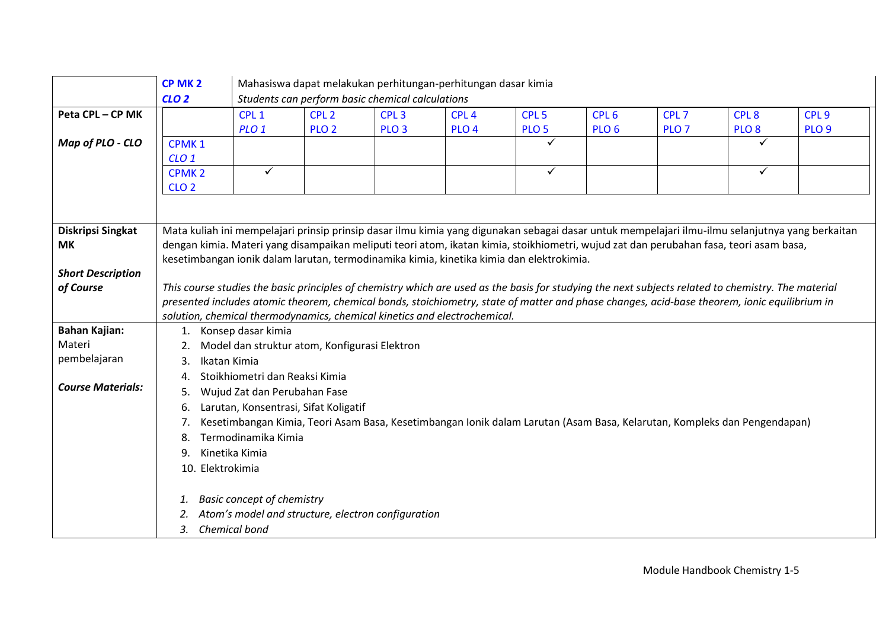|                                | CP MK <sub>2</sub> |                                                                           |                  | Mahasiswa dapat melakukan perhitungan-perhitungan dasar kimia |                  |                                                                                          |                  |                  |                                                                                                                                                     |                                                                                                                                                  |  |
|--------------------------------|--------------------|---------------------------------------------------------------------------|------------------|---------------------------------------------------------------|------------------|------------------------------------------------------------------------------------------|------------------|------------------|-----------------------------------------------------------------------------------------------------------------------------------------------------|--------------------------------------------------------------------------------------------------------------------------------------------------|--|
|                                | CLO <sub>2</sub>   |                                                                           |                  | Students can perform basic chemical calculations              |                  |                                                                                          |                  |                  |                                                                                                                                                     |                                                                                                                                                  |  |
| Peta CPL-CP MK                 |                    | CPL <sub>1</sub>                                                          | CPL <sub>2</sub> | CPL <sub>3</sub>                                              | CPL <sub>4</sub> | CPL <sub>5</sub>                                                                         | CPL <sub>6</sub> | CPL <sub>7</sub> | CPL <sub>8</sub>                                                                                                                                    | CPL <sub>9</sub>                                                                                                                                 |  |
|                                |                    | PLO <sub>1</sub>                                                          | PLO <sub>2</sub> | PLO <sub>3</sub>                                              | PLO <sub>4</sub> | PLO <sub>5</sub>                                                                         | PLO <sub>6</sub> | PLO <sub>7</sub> | PLO <sub>8</sub>                                                                                                                                    | PLO <sub>9</sub>                                                                                                                                 |  |
| Map of PLO - CLO               | CPMK <sub>1</sub>  |                                                                           |                  |                                                               |                  | ✓                                                                                        |                  |                  | ✓                                                                                                                                                   |                                                                                                                                                  |  |
|                                | CLO <sub>1</sub>   |                                                                           |                  |                                                               |                  |                                                                                          |                  |                  |                                                                                                                                                     |                                                                                                                                                  |  |
|                                | <b>CPMK2</b>       | $\checkmark$                                                              |                  |                                                               |                  | $\checkmark$                                                                             |                  |                  | $\checkmark$                                                                                                                                        |                                                                                                                                                  |  |
|                                | CLO <sub>2</sub>   |                                                                           |                  |                                                               |                  |                                                                                          |                  |                  |                                                                                                                                                     |                                                                                                                                                  |  |
|                                |                    |                                                                           |                  |                                                               |                  |                                                                                          |                  |                  |                                                                                                                                                     |                                                                                                                                                  |  |
|                                |                    |                                                                           |                  |                                                               |                  |                                                                                          |                  |                  |                                                                                                                                                     |                                                                                                                                                  |  |
| <b>Diskripsi Singkat</b>       |                    |                                                                           |                  |                                                               |                  |                                                                                          |                  |                  |                                                                                                                                                     | Mata kuliah ini mempelajari prinsip prinsip dasar ilmu kimia yang digunakan sebagai dasar untuk mempelajari ilmu-ilmu selanjutnya yang berkaitan |  |
| <b>MK</b>                      |                    |                                                                           |                  |                                                               |                  |                                                                                          |                  |                  | dengan kimia. Materi yang disampaikan meliputi teori atom, ikatan kimia, stoikhiometri, wujud zat dan perubahan fasa, teori asam basa,              |                                                                                                                                                  |  |
|                                |                    |                                                                           |                  |                                                               |                  | kesetimbangan ionik dalam larutan, termodinamika kimia, kinetika kimia dan elektrokimia. |                  |                  |                                                                                                                                                     |                                                                                                                                                  |  |
| <b>Short Description</b>       |                    |                                                                           |                  |                                                               |                  |                                                                                          |                  |                  |                                                                                                                                                     |                                                                                                                                                  |  |
| of Course                      |                    |                                                                           |                  |                                                               |                  |                                                                                          |                  |                  | This course studies the basic principles of chemistry which are used as the basis for studying the next subjects related to chemistry. The material |                                                                                                                                                  |  |
|                                |                    |                                                                           |                  |                                                               |                  |                                                                                          |                  |                  | presented includes atomic theorem, chemical bonds, stoichiometry, state of matter and phase changes, acid-base theorem, ionic equilibrium in        |                                                                                                                                                  |  |
|                                |                    | solution, chemical thermodynamics, chemical kinetics and electrochemical. |                  |                                                               |                  |                                                                                          |                  |                  |                                                                                                                                                     |                                                                                                                                                  |  |
| <b>Bahan Kajian:</b><br>Materi |                    | 1. Konsep dasar kimia                                                     |                  |                                                               |                  |                                                                                          |                  |                  |                                                                                                                                                     |                                                                                                                                                  |  |
|                                |                    | Model dan struktur atom, Konfigurasi Elektron                             |                  |                                                               |                  |                                                                                          |                  |                  |                                                                                                                                                     |                                                                                                                                                  |  |
| pembelajaran                   | 3.                 | Ikatan Kimia                                                              |                  |                                                               |                  |                                                                                          |                  |                  |                                                                                                                                                     |                                                                                                                                                  |  |
| <b>Course Materials:</b>       | 4.                 | Stoikhiometri dan Reaksi Kimia                                            |                  |                                                               |                  |                                                                                          |                  |                  |                                                                                                                                                     |                                                                                                                                                  |  |
|                                |                    | Wujud Zat dan Perubahan Fase                                              |                  |                                                               |                  |                                                                                          |                  |                  |                                                                                                                                                     |                                                                                                                                                  |  |
|                                | 6.                 | Larutan, Konsentrasi, Sifat Koligatif                                     |                  |                                                               |                  |                                                                                          |                  |                  |                                                                                                                                                     |                                                                                                                                                  |  |
|                                | 7.                 |                                                                           |                  |                                                               |                  |                                                                                          |                  |                  | Kesetimbangan Kimia, Teori Asam Basa, Kesetimbangan Ionik dalam Larutan (Asam Basa, Kelarutan, Kompleks dan Pengendapan)                            |                                                                                                                                                  |  |
|                                | 8.                 | Termodinamika Kimia                                                       |                  |                                                               |                  |                                                                                          |                  |                  |                                                                                                                                                     |                                                                                                                                                  |  |
|                                | 9.                 | Kinetika Kimia                                                            |                  |                                                               |                  |                                                                                          |                  |                  |                                                                                                                                                     |                                                                                                                                                  |  |
|                                | 10. Elektrokimia   |                                                                           |                  |                                                               |                  |                                                                                          |                  |                  |                                                                                                                                                     |                                                                                                                                                  |  |
|                                |                    |                                                                           |                  |                                                               |                  |                                                                                          |                  |                  |                                                                                                                                                     |                                                                                                                                                  |  |
|                                | 1.                 | <b>Basic concept of chemistry</b>                                         |                  |                                                               |                  |                                                                                          |                  |                  |                                                                                                                                                     |                                                                                                                                                  |  |
|                                |                    |                                                                           |                  | Atom's model and structure, electron configuration            |                  |                                                                                          |                  |                  |                                                                                                                                                     |                                                                                                                                                  |  |
|                                |                    | 3. Chemical bond                                                          |                  |                                                               |                  |                                                                                          |                  |                  |                                                                                                                                                     |                                                                                                                                                  |  |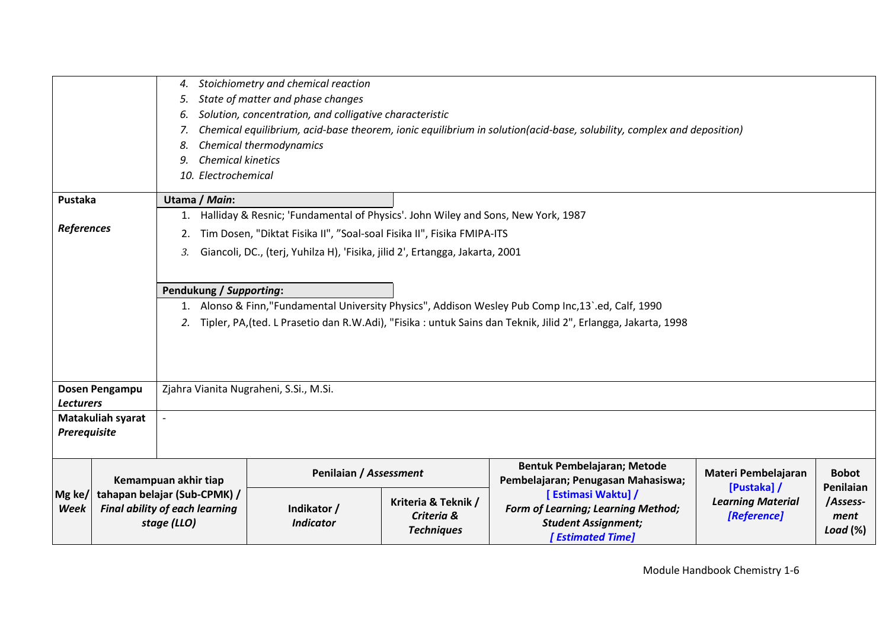|                                                       |                                                                                                                                                                                                                                                     | Stoichiometry and chemical reaction<br>4.<br>State of matter and phase changes<br>5.<br>Solution, concentration, and colligative characteristic<br>6.<br>Chemical equilibrium, acid-base theorem, ionic equilibrium in solution(acid-base, solubility, complex and deposition)<br>7.<br>Chemical thermodynamics<br>8.<br><b>Chemical kinetics</b><br>9.<br>10. Electrochemical |                                                                                                                                                                                                                                            |                                                        |                                                                                                                          |                                                        |                                              |
|-------------------------------------------------------|-----------------------------------------------------------------------------------------------------------------------------------------------------------------------------------------------------------------------------------------------------|--------------------------------------------------------------------------------------------------------------------------------------------------------------------------------------------------------------------------------------------------------------------------------------------------------------------------------------------------------------------------------|--------------------------------------------------------------------------------------------------------------------------------------------------------------------------------------------------------------------------------------------|--------------------------------------------------------|--------------------------------------------------------------------------------------------------------------------------|--------------------------------------------------------|----------------------------------------------|
|                                                       |                                                                                                                                                                                                                                                     |                                                                                                                                                                                                                                                                                                                                                                                |                                                                                                                                                                                                                                            |                                                        |                                                                                                                          |                                                        |                                              |
| Pustaka                                               |                                                                                                                                                                                                                                                     | Utama / Main:                                                                                                                                                                                                                                                                                                                                                                  |                                                                                                                                                                                                                                            |                                                        |                                                                                                                          |                                                        |                                              |
| <b>References</b>                                     |                                                                                                                                                                                                                                                     | 1.<br>2.<br>3.                                                                                                                                                                                                                                                                                                                                                                 | Halliday & Resnic; 'Fundamental of Physics'. John Wiley and Sons, New York, 1987<br>Tim Dosen, "Diktat Fisika II", "Soal-soal Fisika II", Fisika FMIPA-ITS<br>Giancoli, DC., (terj, Yuhilza H), 'Fisika, jilid 2', Ertangga, Jakarta, 2001 |                                                        |                                                                                                                          |                                                        |                                              |
|                                                       | Pendukung / Supporting:<br>1. Alonso & Finn,"Fundamental University Physics", Addison Wesley Pub Comp Inc, 13'ed, Calf, 1990<br>Tipler, PA, (ted. L Prasetio dan R.W.Adi), "Fisika: untuk Sains dan Teknik, Jilid 2", Erlangga, Jakarta, 1998<br>2. |                                                                                                                                                                                                                                                                                                                                                                                |                                                                                                                                                                                                                                            |                                                        |                                                                                                                          |                                                        |                                              |
|                                                       | Dosen Pengampu                                                                                                                                                                                                                                      |                                                                                                                                                                                                                                                                                                                                                                                | Zjahra Vianita Nugraheni, S.Si., M.Si.                                                                                                                                                                                                     |                                                        |                                                                                                                          |                                                        |                                              |
| <b>Lecturers</b><br>Matakuliah syarat<br>Prerequisite |                                                                                                                                                                                                                                                     |                                                                                                                                                                                                                                                                                                                                                                                |                                                                                                                                                                                                                                            |                                                        |                                                                                                                          |                                                        |                                              |
|                                                       |                                                                                                                                                                                                                                                     |                                                                                                                                                                                                                                                                                                                                                                                | Penilaian / Assessment                                                                                                                                                                                                                     |                                                        | Bentuk Pembelajaran; Metode<br>Pembelajaran; Penugasan Mahasiswa;                                                        | Materi Pembelajaran                                    | <b>Bobot</b>                                 |
| Mg ke/<br><b>Week</b>                                 | Kemampuan akhir tiap<br>tahapan belajar (Sub-CPMK) /<br><b>Final ability of each learning</b><br>stage (LLO)                                                                                                                                        |                                                                                                                                                                                                                                                                                                                                                                                | Indikator /<br><b>Indicator</b>                                                                                                                                                                                                            | Kriteria & Teknik /<br>Criteria &<br><b>Techniques</b> | [ Estimasi Waktu] /<br><b>Form of Learning; Learning Method;</b><br><b>Student Assignment;</b><br><b>Estimated Time]</b> | [Pustaka] /<br><b>Learning Material</b><br>[Reference] | Penilaian<br>/Assess-<br>ment<br>Load $(\%)$ |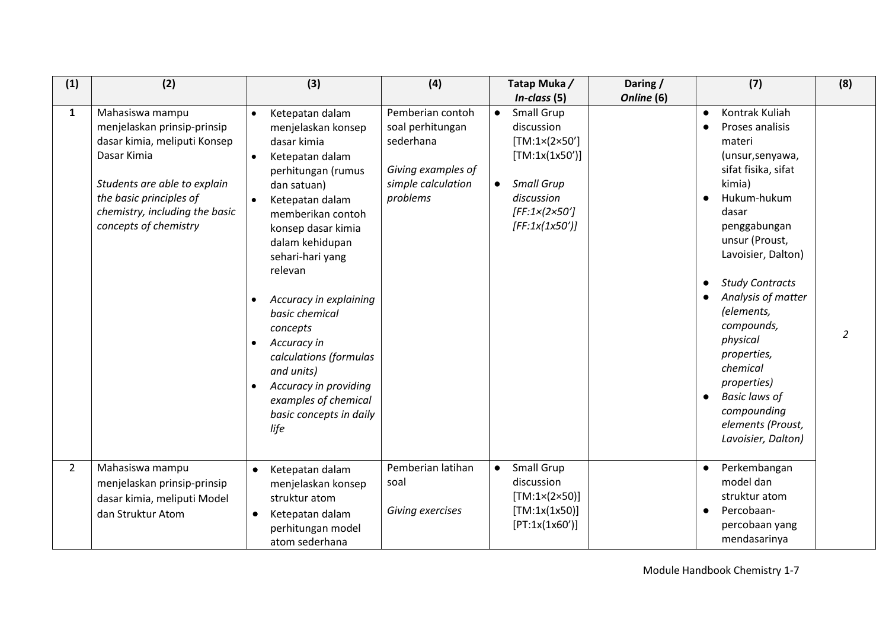| (1)            | (2)                                                                                                                                                                                                                 | (3)                                                                                                                                                                                                                                                                                                                                                                                                                                                                    | (4)                                                                                                       | Tatap Muka/                                                                                                                                                                                                 | Daring /   | (7)                                                                                                                                                                                                                                                                                                                                                                                                                                         | (8)           |
|----------------|---------------------------------------------------------------------------------------------------------------------------------------------------------------------------------------------------------------------|------------------------------------------------------------------------------------------------------------------------------------------------------------------------------------------------------------------------------------------------------------------------------------------------------------------------------------------------------------------------------------------------------------------------------------------------------------------------|-----------------------------------------------------------------------------------------------------------|-------------------------------------------------------------------------------------------------------------------------------------------------------------------------------------------------------------|------------|---------------------------------------------------------------------------------------------------------------------------------------------------------------------------------------------------------------------------------------------------------------------------------------------------------------------------------------------------------------------------------------------------------------------------------------------|---------------|
| $\mathbf{1}$   | Mahasiswa mampu<br>menjelaskan prinsip-prinsip<br>dasar kimia, meliputi Konsep<br>Dasar Kimia<br>Students are able to explain<br>the basic principles of<br>chemistry, including the basic<br>concepts of chemistry | Ketepatan dalam<br>$\bullet$<br>menjelaskan konsep<br>dasar kimia<br>Ketepatan dalam<br>$\bullet$<br>perhitungan (rumus<br>dan satuan)<br>Ketepatan dalam<br>$\bullet$<br>memberikan contoh<br>konsep dasar kimia<br>dalam kehidupan<br>sehari-hari yang<br>relevan<br>Accuracy in explaining<br>basic chemical<br>concepts<br>Accuracy in<br>calculations (formulas<br>and units)<br>Accuracy in providing<br>examples of chemical<br>basic concepts in daily<br>life | Pemberian contoh<br>soal perhitungan<br>sederhana<br>Giving examples of<br>simple calculation<br>problems | $In-class (5)$<br>Small Grup<br>$\bullet$<br>discussion<br>$[TM:1\times(2\times50']$<br>[TM:1x(1x50')]<br><b>Small Grup</b><br>$\bullet$<br>discussion<br>[FF:1 $\times$ (2 $\times$ 50']<br>[FF:1x(1x50')] | Online (6) | Kontrak Kuliah<br>$\bullet$<br>Proses analisis<br>materi<br>(unsur, senyawa,<br>sifat fisika, sifat<br>kimia)<br>Hukum-hukum<br>dasar<br>penggabungan<br>unsur (Proust,<br>Lavoisier, Dalton)<br><b>Study Contracts</b><br>$\bullet$<br>Analysis of matter<br>(elements,<br>compounds,<br>physical<br>properties,<br>chemical<br>properties)<br><b>Basic laws of</b><br>$\bullet$<br>compounding<br>elements (Proust,<br>Lavoisier, Dalton) | $\mathcal{L}$ |
| $\overline{2}$ | Mahasiswa mampu<br>menjelaskan prinsip-prinsip<br>dasar kimia, meliputi Model<br>dan Struktur Atom                                                                                                                  | Ketepatan dalam<br>$\bullet$<br>menjelaskan konsep<br>struktur atom<br>Ketepatan dalam<br>$\bullet$<br>perhitungan model<br>atom sederhana                                                                                                                                                                                                                                                                                                                             | Pemberian latihan<br>soal<br>Giving exercises                                                             | Small Grup<br>$\bullet$<br>discussion<br>$[TM:1\times(2\times50)]$<br>[TM:1x(1x50)]<br>[PT:1x(1x60')]                                                                                                       |            | Perkembangan<br>$\bullet$<br>model dan<br>struktur atom<br>Percobaan-<br>$\bullet$<br>percobaan yang<br>mendasarinya                                                                                                                                                                                                                                                                                                                        |               |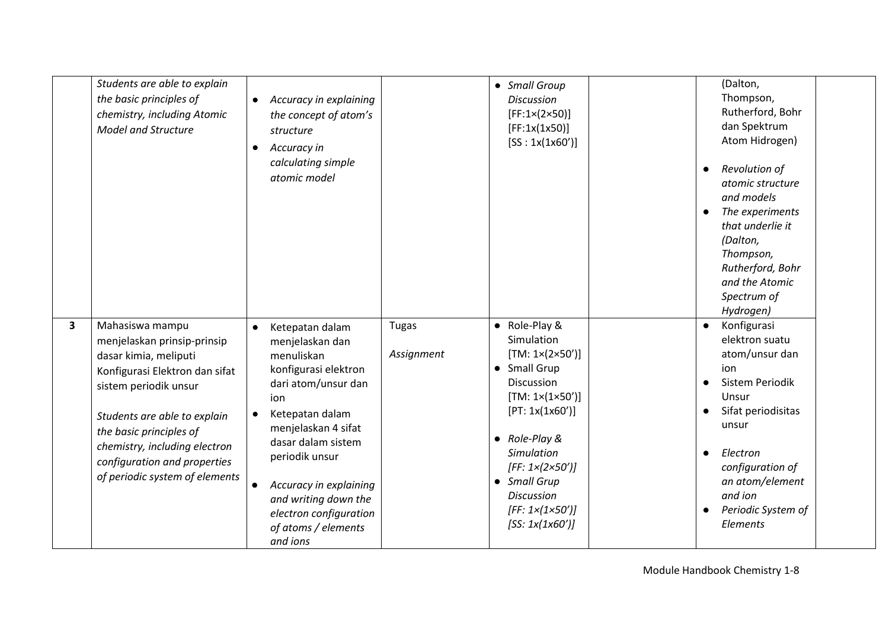|   | Students are able to explain<br>the basic principles of<br>chemistry, including Atomic<br><b>Model and Structure</b>                                                                                                                                                                             | Accuracy in explaining<br>$\bullet$<br>the concept of atom's<br>structure<br>Accuracy in<br>$\bullet$<br>calculating simple<br>atomic model                                                                                                                                                                                                    |                            | • Small Group<br><b>Discussion</b><br>[FF:1×(2×50)]<br>[FF:1x(1x50)]<br>[SS: 1x(1x60')]                                                                                                                                                                                                                                          | (Dalton,<br>Thompson,<br>Rutherford, Bohr<br>dan Spektrum<br>Atom Hidrogen)<br>Revolution of<br>atomic structure<br>and models<br>The experiments<br>$\bullet$<br>that underlie it<br>(Dalton,<br>Thompson,<br>Rutherford, Bohr<br>and the Atomic<br>Spectrum of<br>Hydrogen) |
|---|--------------------------------------------------------------------------------------------------------------------------------------------------------------------------------------------------------------------------------------------------------------------------------------------------|------------------------------------------------------------------------------------------------------------------------------------------------------------------------------------------------------------------------------------------------------------------------------------------------------------------------------------------------|----------------------------|----------------------------------------------------------------------------------------------------------------------------------------------------------------------------------------------------------------------------------------------------------------------------------------------------------------------------------|-------------------------------------------------------------------------------------------------------------------------------------------------------------------------------------------------------------------------------------------------------------------------------|
| 3 | Mahasiswa mampu<br>menjelaskan prinsip-prinsip<br>dasar kimia, meliputi<br>Konfigurasi Elektron dan sifat<br>sistem periodik unsur<br>Students are able to explain<br>the basic principles of<br>chemistry, including electron<br>configuration and properties<br>of periodic system of elements | Ketepatan dalam<br>$\bullet$<br>menjelaskan dan<br>menuliskan<br>konfigurasi elektron<br>dari atom/unsur dan<br>ion<br>Ketepatan dalam<br>$\bullet$<br>menjelaskan 4 sifat<br>dasar dalam sistem<br>periodik unsur<br>Accuracy in explaining<br>$\bullet$<br>and writing down the<br>electron configuration<br>of atoms / elements<br>and ions | <b>Tugas</b><br>Assignment | • Role-Play &<br>Simulation<br>$[TM: 1 \times (2 \times 50')]$<br>• Small Grup<br><b>Discussion</b><br>$[TM: 1 \times (1 \times 50')]$<br>[PT: 1x(1x60')]<br>$\bullet$ Role-Play &<br>Simulation<br>[FF: $1 \times (2 \times 50')$ ]<br>• Small Grup<br><b>Discussion</b><br>[FF: $1 \times (1 \times 50')$ ]<br>[SS: 1x(1x60')] | Konfigurasi<br>$\bullet$<br>elektron suatu<br>atom/unsur dan<br>ion<br><b>Sistem Periodik</b><br>Unsur<br>Sifat periodisitas<br>$\bullet$<br>unsur<br>Electron<br>$\bullet$<br>configuration of<br>an atom/element<br>and ion<br>Periodic System of<br>Elements               |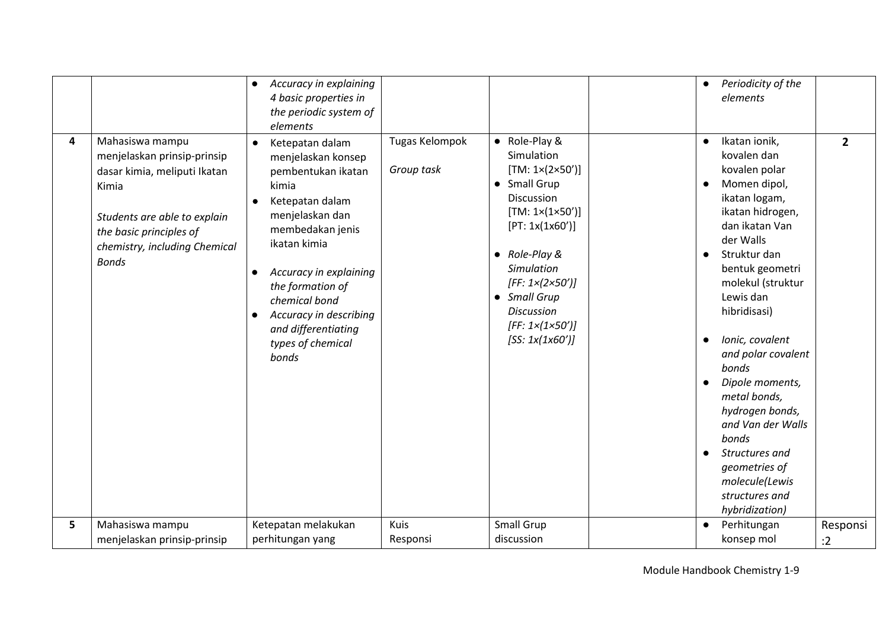|   |                                                                                                                                                                                                     | Accuracy in explaining<br>$\bullet$<br>4 basic properties in<br>the periodic system of<br>elements                                                                                                                                                                                                                                               |                              |                                                                                                                                                                                                                                                                                                                           | Periodicity of the<br>$\bullet$<br>elements                                                                                                                                                                                                                                                                                                                                                                                                                                                               |                |
|---|-----------------------------------------------------------------------------------------------------------------------------------------------------------------------------------------------------|--------------------------------------------------------------------------------------------------------------------------------------------------------------------------------------------------------------------------------------------------------------------------------------------------------------------------------------------------|------------------------------|---------------------------------------------------------------------------------------------------------------------------------------------------------------------------------------------------------------------------------------------------------------------------------------------------------------------------|-----------------------------------------------------------------------------------------------------------------------------------------------------------------------------------------------------------------------------------------------------------------------------------------------------------------------------------------------------------------------------------------------------------------------------------------------------------------------------------------------------------|----------------|
| 4 | Mahasiswa mampu<br>menjelaskan prinsip-prinsip<br>dasar kimia, meliputi Ikatan<br>Kimia<br>Students are able to explain<br>the basic principles of<br>chemistry, including Chemical<br><b>Bonds</b> | Ketepatan dalam<br>$\bullet$<br>menjelaskan konsep<br>pembentukan ikatan<br>kimia<br>Ketepatan dalam<br>$\bullet$<br>menjelaskan dan<br>membedakan jenis<br>ikatan kimia<br>Accuracy in explaining<br>$\bullet$<br>the formation of<br>chemical bond<br>Accuracy in describing<br>$\bullet$<br>and differentiating<br>types of chemical<br>bonds | Tugas Kelompok<br>Group task | • Role-Play &<br>Simulation<br>$[TM: 1 \times (2 \times 50')]$<br>• Small Grup<br>Discussion<br>$[TM: 1 \times (1 \times 50')]$<br>[PT: 1x(1x60')]<br>$\bullet$ Role-Play &<br>Simulation<br>[FF: $1 \times (2 \times 50')$ ]<br>• Small Grup<br><b>Discussion</b><br>[FF: $1 \times (1 \times 50')$ ]<br>[SS: 1x(1x60')] | Ikatan ionik,<br>$\bullet$<br>kovalen dan<br>kovalen polar<br>Momen dipol,<br>ikatan logam,<br>ikatan hidrogen,<br>dan ikatan Van<br>der Walls<br>Struktur dan<br>$\bullet$<br>bentuk geometri<br>molekul (struktur<br>Lewis dan<br>hibridisasi)<br>Ionic, covalent<br>$\bullet$<br>and polar covalent<br>bonds<br>Dipole moments,<br>metal bonds,<br>hydrogen bonds,<br>and Van der Walls<br>bonds<br>Structures and<br>$\bullet$<br>geometries of<br>molecule(Lewis<br>structures and<br>hybridization) | $2^{\circ}$    |
| 5 | Mahasiswa mampu<br>menjelaskan prinsip-prinsip                                                                                                                                                      | Ketepatan melakukan<br>perhitungan yang                                                                                                                                                                                                                                                                                                          | Kuis<br>Responsi             | Small Grup<br>discussion                                                                                                                                                                                                                                                                                                  | Perhitungan<br>$\bullet$<br>konsep mol                                                                                                                                                                                                                                                                                                                                                                                                                                                                    | Responsi<br>:2 |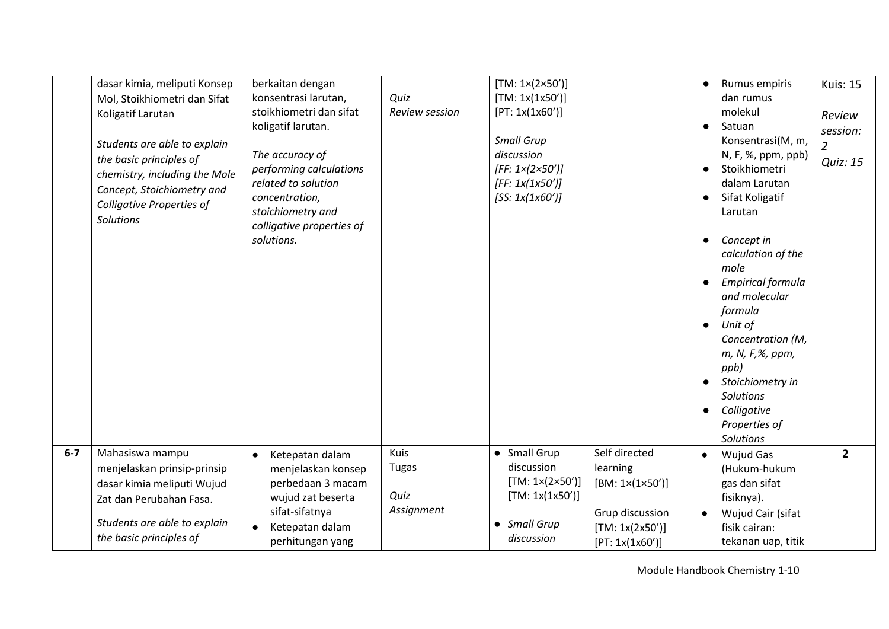|       | dasar kimia, meliputi Konsep<br>Mol, Stoikhiometri dan Sifat<br>Koligatif Larutan<br>Students are able to explain<br>the basic principles of<br>chemistry, including the Mole<br>Concept, Stoichiometry and<br><b>Colligative Properties of</b><br><b>Solutions</b> | berkaitan dengan<br>konsentrasi larutan,<br>stoikhiometri dan sifat<br>koligatif larutan.<br>The accuracy of<br>performing calculations<br>related to solution<br>concentration,<br>stoichiometry and<br>colligative properties of<br>solutions. | Quiz<br><b>Review session</b>              | [TM: 1×(2×50')]<br>[TM: 1x(1x50')]<br>[PT: 1x(1x60')]<br><b>Small Grup</b><br>discussion<br>$[FF: 1 \times (2 \times 50')]$<br>[FF: 1x(1x50')]<br>[SS: 1x(1x60')] |                                                                                                       | Rumus empiris<br>$\bullet$<br>dan rumus<br>molekul<br>Satuan<br>$\bullet$<br>Konsentrasi(M, m,<br>N, F, %, ppm, ppb)<br>Stoikhiometri<br>$\bullet$<br>dalam Larutan<br>Sifat Koligatif<br>$\bullet$<br>Larutan<br>Concept in<br>$\bullet$<br>calculation of the<br>mole<br><b>Empirical formula</b><br>and molecular<br>formula<br>Unit of<br>$\bullet$<br>Concentration (M,<br>m, N, F,%, ppm,<br>ppb)<br>Stoichiometry in<br>$\bullet$<br><b>Solutions</b><br>Colligative<br>$\bullet$<br>Properties of<br><b>Solutions</b> | <b>Kuis: 15</b><br>Review<br>session:<br>2<br>Quiz: 15 |
|-------|---------------------------------------------------------------------------------------------------------------------------------------------------------------------------------------------------------------------------------------------------------------------|--------------------------------------------------------------------------------------------------------------------------------------------------------------------------------------------------------------------------------------------------|--------------------------------------------|-------------------------------------------------------------------------------------------------------------------------------------------------------------------|-------------------------------------------------------------------------------------------------------|-------------------------------------------------------------------------------------------------------------------------------------------------------------------------------------------------------------------------------------------------------------------------------------------------------------------------------------------------------------------------------------------------------------------------------------------------------------------------------------------------------------------------------|--------------------------------------------------------|
| $6-7$ | Mahasiswa mampu<br>menjelaskan prinsip-prinsip<br>dasar kimia meliputi Wujud<br>Zat dan Perubahan Fasa.<br>Students are able to explain<br>the basic principles of                                                                                                  | Ketepatan dalam<br>$\bullet$<br>menjelaskan konsep<br>perbedaan 3 macam<br>wujud zat beserta<br>sifat-sifatnya<br>Ketepatan dalam<br>$\bullet$<br>perhitungan yang                                                                               | Kuis<br><b>Tugas</b><br>Quiz<br>Assignment | • Small Grup<br>discussion<br>[TM: 1×(2×50')]<br>[TM: 1x(1x50')]<br>• Small Grup<br>discussion                                                                    | Self directed<br>learning<br>[BM: 1×(1×50')]<br>Grup discussion<br>[TM: 1x(2x50')]<br>[PT: 1x(1x60')] | <b>Wujud Gas</b><br>(Hukum-hukum<br>gas dan sifat<br>fisiknya).<br>Wujud Cair (sifat<br>fisik cairan:<br>tekanan uap, titik                                                                                                                                                                                                                                                                                                                                                                                                   | $2^{\circ}$                                            |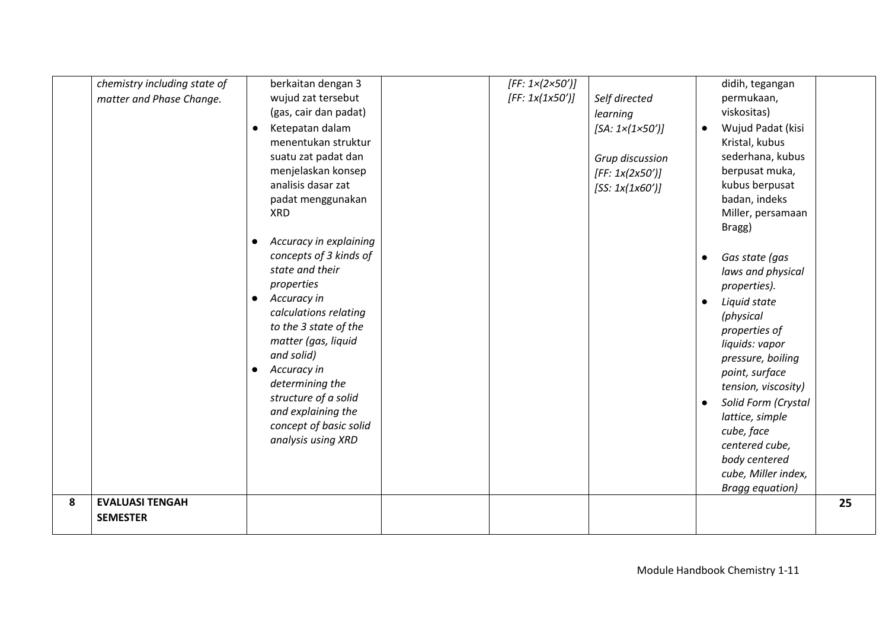|   | chemistry including state of | berkaitan dengan 3           | [FF: $1 \times (2 \times 50')$ ] |                                  |           | didih, tegangan        |    |
|---|------------------------------|------------------------------|----------------------------------|----------------------------------|-----------|------------------------|----|
|   | matter and Phase Change.     | wujud zat tersebut           | [FF: 1x(1x50')]                  | Self directed                    |           | permukaan,             |    |
|   |                              | (gas, cair dan padat)        |                                  | learning                         |           | viskositas)            |    |
|   |                              | Ketepatan dalam<br>$\bullet$ |                                  | [SA: $1 \times (1 \times 50')$ ] | $\bullet$ | Wujud Padat (kisi      |    |
|   |                              | menentukan struktur          |                                  |                                  |           | Kristal, kubus         |    |
|   |                              | suatu zat padat dan          |                                  |                                  |           | sederhana, kubus       |    |
|   |                              | menjelaskan konsep           |                                  | Grup discussion                  |           | berpusat muka,         |    |
|   |                              | analisis dasar zat           |                                  | [FF: 1x(2x50')]                  |           | kubus berpusat         |    |
|   |                              | padat menggunakan            |                                  | [SS: 1x(1x60')]                  |           | badan, indeks          |    |
|   |                              | <b>XRD</b>                   |                                  |                                  |           | Miller, persamaan      |    |
|   |                              |                              |                                  |                                  |           |                        |    |
|   |                              | Accuracy in explaining       |                                  |                                  |           | Bragg)                 |    |
|   |                              | concepts of 3 kinds of       |                                  |                                  |           |                        |    |
|   |                              | state and their              |                                  |                                  | ٠         | Gas state (gas         |    |
|   |                              | properties                   |                                  |                                  |           | laws and physical      |    |
|   |                              | Accuracy in<br>$\bullet$     |                                  |                                  |           | properties).           |    |
|   |                              | calculations relating        |                                  |                                  | $\bullet$ | Liquid state           |    |
|   |                              |                              |                                  |                                  |           | (physical              |    |
|   |                              | to the 3 state of the        |                                  |                                  |           | properties of          |    |
|   |                              | matter (gas, liquid          |                                  |                                  |           | liquids: vapor         |    |
|   |                              | and solid)                   |                                  |                                  |           | pressure, boiling      |    |
|   |                              | Accuracy in<br>$\bullet$     |                                  |                                  |           | point, surface         |    |
|   |                              | determining the              |                                  |                                  |           | tension, viscosity)    |    |
|   |                              | structure of a solid         |                                  |                                  |           | Solid Form (Crystal    |    |
|   |                              | and explaining the           |                                  |                                  |           | lattice, simple        |    |
|   |                              | concept of basic solid       |                                  |                                  |           | cube, face             |    |
|   |                              | analysis using XRD           |                                  |                                  |           | centered cube,         |    |
|   |                              |                              |                                  |                                  |           | body centered          |    |
|   |                              |                              |                                  |                                  |           | cube, Miller index,    |    |
|   |                              |                              |                                  |                                  |           | <b>Bragg equation)</b> |    |
| 8 | <b>EVALUASI TENGAH</b>       |                              |                                  |                                  |           |                        | 25 |
|   | <b>SEMESTER</b>              |                              |                                  |                                  |           |                        |    |
|   |                              |                              |                                  |                                  |           |                        |    |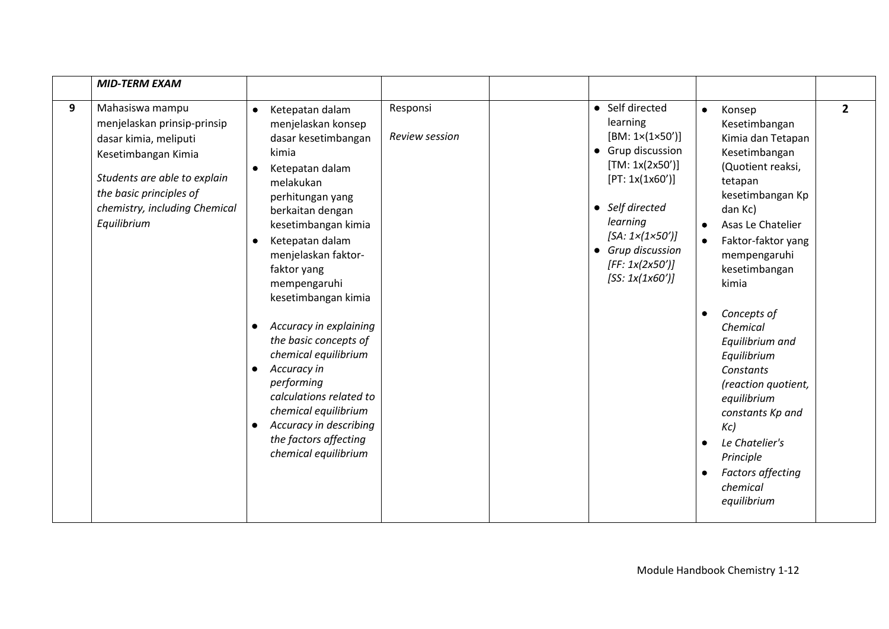|   | <b>MID-TERM EXAM</b>                                                                                                                                                                                      |                                                                                                                                                                                                                                                                                                                                                                                                                                                                                                                                                                     |                                   |                                                                                                                                                                                                                                                         |                                                                                                                                                                                                                                                                                                                                                                                                                                                                             |                |
|---|-----------------------------------------------------------------------------------------------------------------------------------------------------------------------------------------------------------|---------------------------------------------------------------------------------------------------------------------------------------------------------------------------------------------------------------------------------------------------------------------------------------------------------------------------------------------------------------------------------------------------------------------------------------------------------------------------------------------------------------------------------------------------------------------|-----------------------------------|---------------------------------------------------------------------------------------------------------------------------------------------------------------------------------------------------------------------------------------------------------|-----------------------------------------------------------------------------------------------------------------------------------------------------------------------------------------------------------------------------------------------------------------------------------------------------------------------------------------------------------------------------------------------------------------------------------------------------------------------------|----------------|
| 9 | Mahasiswa mampu<br>menjelaskan prinsip-prinsip<br>dasar kimia, meliputi<br>Kesetimbangan Kimia<br>Students are able to explain<br>the basic principles of<br>chemistry, including Chemical<br>Equilibrium | Ketepatan dalam<br>$\bullet$<br>menjelaskan konsep<br>dasar kesetimbangan<br>kimia<br>Ketepatan dalam<br>$\bullet$<br>melakukan<br>perhitungan yang<br>berkaitan dengan<br>kesetimbangan kimia<br>Ketepatan dalam<br>٠<br>menjelaskan faktor-<br>faktor yang<br>mempengaruhi<br>kesetimbangan kimia<br>Accuracy in explaining<br>the basic concepts of<br>chemical equilibrium<br>Accuracy in<br>$\bullet$<br>performing<br>calculations related to<br>chemical equilibrium<br>Accuracy in describing<br>$\bullet$<br>the factors affecting<br>chemical equilibrium | Responsi<br><b>Review session</b> | • Self directed<br>learning<br>$[BM: 1 \times (1 \times 50')]$<br>• Grup discussion<br>[TM: 1x(2x50')]<br>[PT: 1x(1x60')]<br>• Self directed<br>learning<br>[SA: $1 \times (1 \times 50')$ ]<br>• Grup discussion<br>[FF: 1x(2x50')]<br>[SS: 1x(1x60')] | $\bullet$<br>Konsep<br>Kesetimbangan<br>Kimia dan Tetapan<br>Kesetimbangan<br>(Quotient reaksi,<br>tetapan<br>kesetimbangan Kp<br>dan Kc)<br>Asas Le Chatelier<br>Faktor-faktor yang<br>$\bullet$<br>mempengaruhi<br>kesetimbangan<br>kimia<br>Concepts of<br>Chemical<br>Equilibrium and<br>Equilibrium<br>Constants<br>(reaction quotient,<br>equilibrium<br>constants Kp and<br>Kc<br>Le Chatelier's<br>Principle<br><b>Factors affecting</b><br>chemical<br>equilibrium | $\overline{2}$ |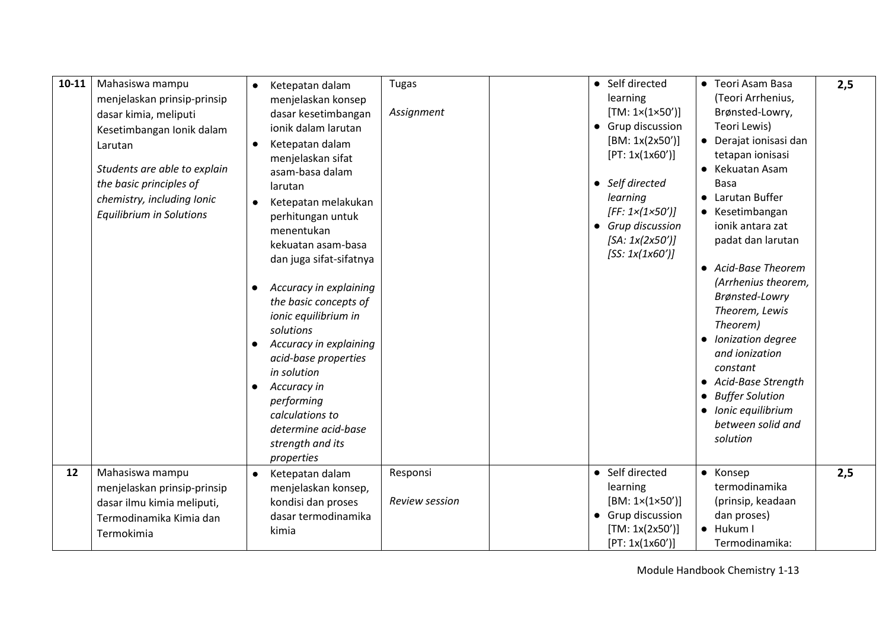| $10 - 11$ | Mahasiswa mampu<br>menjelaskan prinsip-prinsip<br>dasar kimia, meliputi<br>Kesetimbangan Ionik dalam<br>Larutan<br>Students are able to explain<br>the basic principles of<br>chemistry, including Ionic<br><b>Equilibrium in Solutions</b> | Ketepatan dalam<br>menjelaskan konsep<br>dasar kesetimbangan<br>jonik dalam larutan<br>Ketepatan dalam<br>menjelaskan sifat<br>asam-basa dalam<br>larutan<br>Ketepatan melakukan<br>perhitungan untuk<br>menentukan<br>kekuatan asam-basa<br>dan juga sifat-sifatnya<br>Accuracy in explaining<br>the basic concepts of<br>ionic equilibrium in<br>solutions<br>Accuracy in explaining<br>acid-base properties<br>in solution<br>Accuracy in<br>performing<br>calculations to<br>determine acid-base<br>strength and its<br>properties | <b>Tugas</b><br>Assignment | • Self directed<br>learning<br>[TM: 1×(1×50')]<br>• Grup discussion<br>[BM: 1x(2x50')]<br>[PT: 1x(1x60')]<br>• Self directed<br>learning<br>$[FF: 1 \times (1 \times 50')]$<br>• Grup discussion<br>[SA: 1x(2x50')]<br>[SS: 1x(1x60')] | • Teori Asam Basa<br>(Teori Arrhenius,<br>Brønsted-Lowry,<br>Teori Lewis)<br>• Derajat ionisasi dan<br>tetapan ionisasi<br>• Kekuatan Asam<br><b>Basa</b><br>• Larutan Buffer<br>• Kesetimbangan<br>ionik antara zat<br>padat dan larutan<br>• Acid-Base Theorem<br>(Arrhenius theorem,<br>Brønsted-Lowry<br>Theorem, Lewis<br>Theorem)<br>• Ionization degree<br>and ionization<br>constant<br>• Acid-Base Strength<br>• Buffer Solution<br>• Ionic equilibrium<br>between solid and<br>solution | 2,5 |
|-----------|---------------------------------------------------------------------------------------------------------------------------------------------------------------------------------------------------------------------------------------------|----------------------------------------------------------------------------------------------------------------------------------------------------------------------------------------------------------------------------------------------------------------------------------------------------------------------------------------------------------------------------------------------------------------------------------------------------------------------------------------------------------------------------------------|----------------------------|----------------------------------------------------------------------------------------------------------------------------------------------------------------------------------------------------------------------------------------|---------------------------------------------------------------------------------------------------------------------------------------------------------------------------------------------------------------------------------------------------------------------------------------------------------------------------------------------------------------------------------------------------------------------------------------------------------------------------------------------------|-----|
| 12        | Mahasiswa mampu<br>menjelaskan prinsip-prinsip<br>dasar ilmu kimia meliputi,<br>Termodinamika Kimia dan<br>Termokimia                                                                                                                       | Ketepatan dalam<br>menjelaskan konsep,<br>kondisi dan proses<br>dasar termodinamika<br>kimia                                                                                                                                                                                                                                                                                                                                                                                                                                           | Responsi<br>Review session | • Self directed<br>learning<br>$[BM: 1 \times (1 \times 50')]$<br>• Grup discussion<br>[TM: 1x(2x50')]<br>[PT: 1x(1x60')]                                                                                                              | • Konsep<br>termodinamika<br>(prinsip, keadaan<br>dan proses)<br>· Hukum I<br>Termodinamika:                                                                                                                                                                                                                                                                                                                                                                                                      | 2,5 |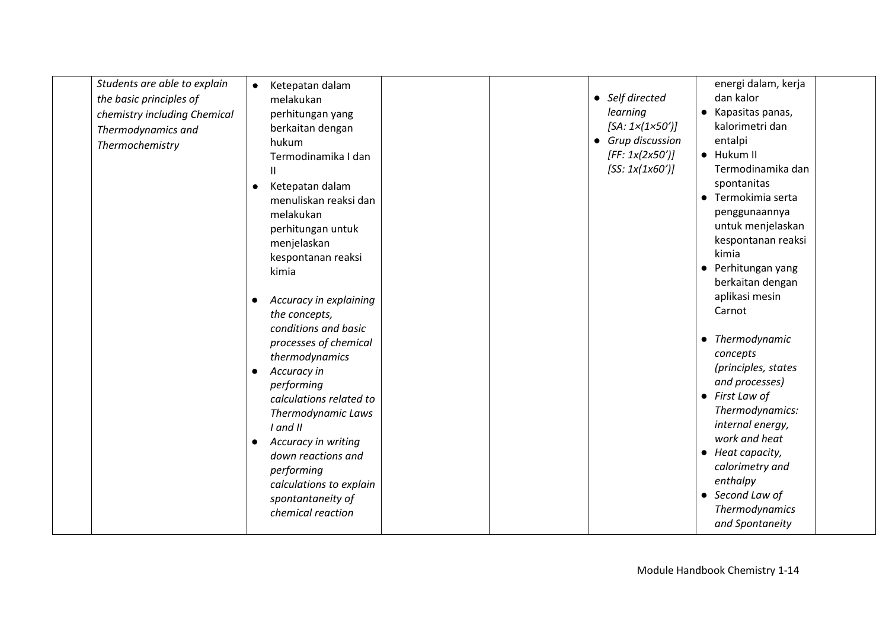| Students are able to explain | $\bullet$ | Ketepatan dalam         |  |                                  | energi dalam, kerja    |  |
|------------------------------|-----------|-------------------------|--|----------------------------------|------------------------|--|
| the basic principles of      |           | melakukan               |  | • Self directed                  | dan kalor              |  |
| chemistry including Chemical |           | perhitungan yang        |  | learning                         | • Kapasitas panas,     |  |
| Thermodynamics and           |           | berkaitan dengan        |  | [SA: $1 \times (1 \times 50')$ ] | kalorimetri dan        |  |
| Thermochemistry              |           | hukum                   |  | • Grup discussion                | entalpi                |  |
|                              |           | Termodinamika I dan     |  | [FF: 1x(2x50')]                  | • Hukum II             |  |
|                              |           | Ш                       |  | [SS: 1x(1x60')]                  | Termodinamika dan      |  |
|                              |           | Ketepatan dalam         |  |                                  | spontanitas            |  |
|                              |           | menuliskan reaksi dan   |  |                                  | • Termokimia serta     |  |
|                              |           | melakukan               |  |                                  | penggunaannya          |  |
|                              |           | perhitungan untuk       |  |                                  | untuk menjelaskan      |  |
|                              |           | menjelaskan             |  |                                  | kespontanan reaksi     |  |
|                              |           | kespontanan reaksi      |  |                                  | kimia                  |  |
|                              |           | kimia                   |  |                                  | • Perhitungan yang     |  |
|                              |           |                         |  |                                  | berkaitan dengan       |  |
|                              |           | Accuracy in explaining  |  |                                  | aplikasi mesin         |  |
|                              |           | the concepts,           |  |                                  | Carnot                 |  |
|                              |           | conditions and basic    |  |                                  |                        |  |
|                              |           |                         |  |                                  | • Thermodynamic        |  |
|                              |           | processes of chemical   |  |                                  | concepts               |  |
|                              |           | thermodynamics          |  |                                  | (principles, states    |  |
|                              |           | Accuracy in             |  |                                  | and processes)         |  |
|                              |           | performing              |  |                                  | $\bullet$ First Law of |  |
|                              |           | calculations related to |  |                                  | Thermodynamics:        |  |
|                              |           | Thermodynamic Laws      |  |                                  | internal energy,       |  |
|                              |           | I and II                |  |                                  | work and heat          |  |
|                              | $\bullet$ | Accuracy in writing     |  |                                  | • Heat capacity,       |  |
|                              |           | down reactions and      |  |                                  | calorimetry and        |  |
|                              |           | performing              |  |                                  | enthalpy               |  |
|                              |           | calculations to explain |  |                                  | • Second Law of        |  |
|                              |           | spontantaneity of       |  |                                  | Thermodynamics         |  |
|                              |           | chemical reaction       |  |                                  |                        |  |
|                              |           |                         |  |                                  | and Spontaneity        |  |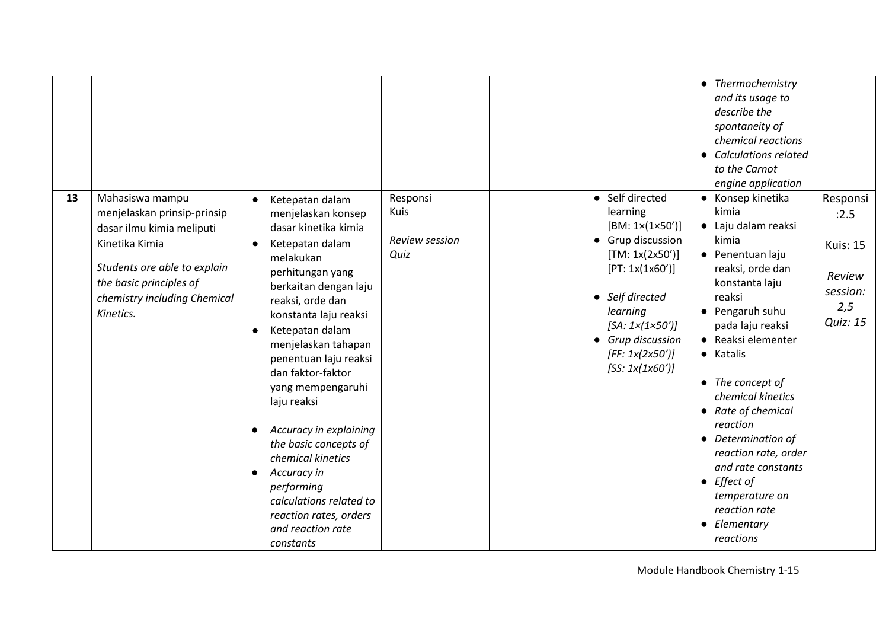|    |                                                                                                                                                                                                       |                                                                                                                                                                                                                                                                                                                                                                                                                                                                                                                                                             |                                            |                                                                                                                                                                                                                                                         | • Thermochemistry<br>and its usage to<br>describe the<br>spontaneity of<br>chemical reactions<br><b>Calculations related</b><br>$\bullet$<br>to the Carnot<br>engine application                                                                                                                                                                                                                                                                                  |                                                                                     |
|----|-------------------------------------------------------------------------------------------------------------------------------------------------------------------------------------------------------|-------------------------------------------------------------------------------------------------------------------------------------------------------------------------------------------------------------------------------------------------------------------------------------------------------------------------------------------------------------------------------------------------------------------------------------------------------------------------------------------------------------------------------------------------------------|--------------------------------------------|---------------------------------------------------------------------------------------------------------------------------------------------------------------------------------------------------------------------------------------------------------|-------------------------------------------------------------------------------------------------------------------------------------------------------------------------------------------------------------------------------------------------------------------------------------------------------------------------------------------------------------------------------------------------------------------------------------------------------------------|-------------------------------------------------------------------------------------|
| 13 | Mahasiswa mampu<br>menjelaskan prinsip-prinsip<br>dasar ilmu kimia meliputi<br>Kinetika Kimia<br>Students are able to explain<br>the basic principles of<br>chemistry including Chemical<br>Kinetics. | Ketepatan dalam<br>$\bullet$<br>menjelaskan konsep<br>dasar kinetika kimia<br>Ketepatan dalam<br>$\bullet$<br>melakukan<br>perhitungan yang<br>berkaitan dengan laju<br>reaksi, orde dan<br>konstanta laju reaksi<br>Ketepatan dalam<br>٠<br>menjelaskan tahapan<br>penentuan laju reaksi<br>dan faktor-faktor<br>yang mempengaruhi<br>laju reaksi<br>Accuracy in explaining<br>the basic concepts of<br>chemical kinetics<br>Accuracy in<br>$\bullet$<br>performing<br>calculations related to<br>reaction rates, orders<br>and reaction rate<br>constants | Responsi<br>Kuis<br>Review session<br>Quiz | • Self directed<br>learning<br>$[BM: 1 \times (1 \times 50')]$<br>• Grup discussion<br>[TM: 1x(2x50')]<br>[PT: 1x(1x60')]<br>• Self directed<br>learning<br>[SA: $1 \times (1 \times 50')$ ]<br>• Grup discussion<br>[FF: 1x(2x50')]<br>[SS: 1x(1x60')] | • Konsep kinetika<br>kimia<br>• Laju dalam reaksi<br>kimia<br>• Penentuan laju<br>reaksi, orde dan<br>konstanta laju<br>reaksi<br>• Pengaruh suhu<br>pada laju reaksi<br>• Reaksi elementer<br>• Katalis<br>$\bullet$ The concept of<br>chemical kinetics<br>• Rate of chemical<br>reaction<br>• Determination of<br>reaction rate, order<br>and rate constants<br>$\bullet$ Effect of<br>temperature on<br>reaction rate<br>Elementary<br>$\bullet$<br>reactions | Responsi<br>:2.5<br><b>Kuis: 15</b><br>Review<br>session:<br>2,5<br><b>Quiz: 15</b> |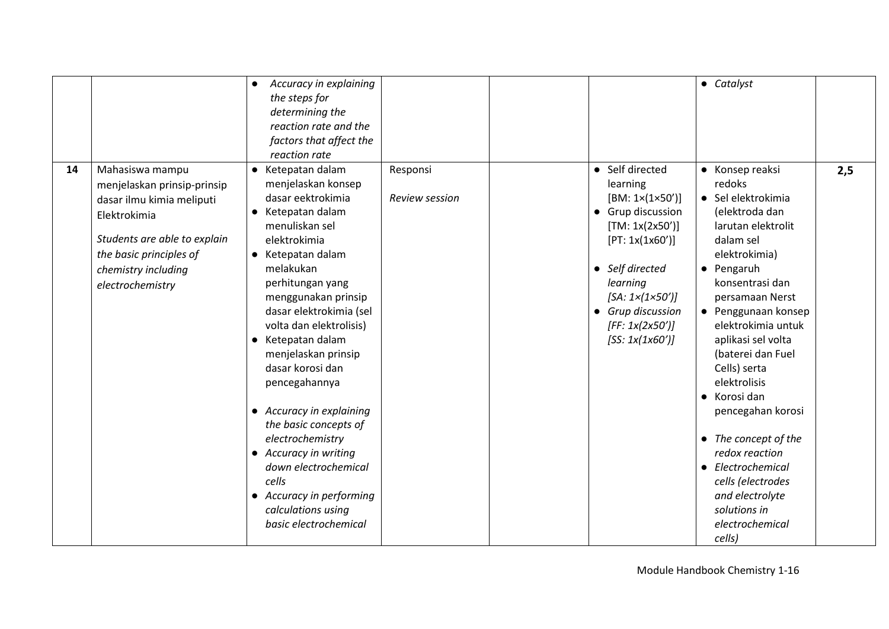|    |                                                                                                                                                                                                   | Accuracy in explaining<br>$\bullet$<br>the steps for<br>determining the<br>reaction rate and the<br>factors that affect the<br>reaction rate                                                                                                                                                                                                                                                                                                                                                                                                          |                                   |                                                                                                                                                                                                                                                         | • Catalyst                                                                                                                                                                                                                                                                                                                                                                                                                                                                                 |     |
|----|---------------------------------------------------------------------------------------------------------------------------------------------------------------------------------------------------|-------------------------------------------------------------------------------------------------------------------------------------------------------------------------------------------------------------------------------------------------------------------------------------------------------------------------------------------------------------------------------------------------------------------------------------------------------------------------------------------------------------------------------------------------------|-----------------------------------|---------------------------------------------------------------------------------------------------------------------------------------------------------------------------------------------------------------------------------------------------------|--------------------------------------------------------------------------------------------------------------------------------------------------------------------------------------------------------------------------------------------------------------------------------------------------------------------------------------------------------------------------------------------------------------------------------------------------------------------------------------------|-----|
| 14 | Mahasiswa mampu<br>menjelaskan prinsip-prinsip<br>dasar ilmu kimia meliputi<br>Elektrokimia<br>Students are able to explain<br>the basic principles of<br>chemistry including<br>electrochemistry | • Ketepatan dalam<br>menjelaskan konsep<br>dasar eektrokimia<br>• Ketepatan dalam<br>menuliskan sel<br>elektrokimia<br>• Ketepatan dalam<br>melakukan<br>perhitungan yang<br>menggunakan prinsip<br>dasar elektrokimia (sel<br>volta dan elektrolisis)<br>• Ketepatan dalam<br>menjelaskan prinsip<br>dasar korosi dan<br>pencegahannya<br>• Accuracy in explaining<br>the basic concepts of<br>electrochemistry<br>• Accuracy in writing<br>down electrochemical<br>cells<br>• Accuracy in performing<br>calculations using<br>basic electrochemical | Responsi<br><b>Review session</b> | • Self directed<br>learning<br>$[BM: 1 \times (1 \times 50')]$<br>• Grup discussion<br>[TM: 1x(2x50')]<br>[PT: 1x(1x60')]<br>• Self directed<br>learning<br>[SA: $1 \times (1 \times 50')$ ]<br>• Grup discussion<br>[FF: 1x(2x50')]<br>[SS: 1x(1x60')] | • Konsep reaksi<br>redoks<br>• Sel elektrokimia<br>(elektroda dan<br>larutan elektrolit<br>dalam sel<br>elektrokimia)<br>• Pengaruh<br>konsentrasi dan<br>persamaan Nerst<br>• Penggunaan konsep<br>elektrokimia untuk<br>aplikasi sel volta<br>(baterei dan Fuel<br>Cells) serta<br>elektrolisis<br>• Korosi dan<br>pencegahan korosi<br>• The concept of the<br>redox reaction<br>• Electrochemical<br>cells (electrodes<br>and electrolyte<br>solutions in<br>electrochemical<br>cells) | 2,5 |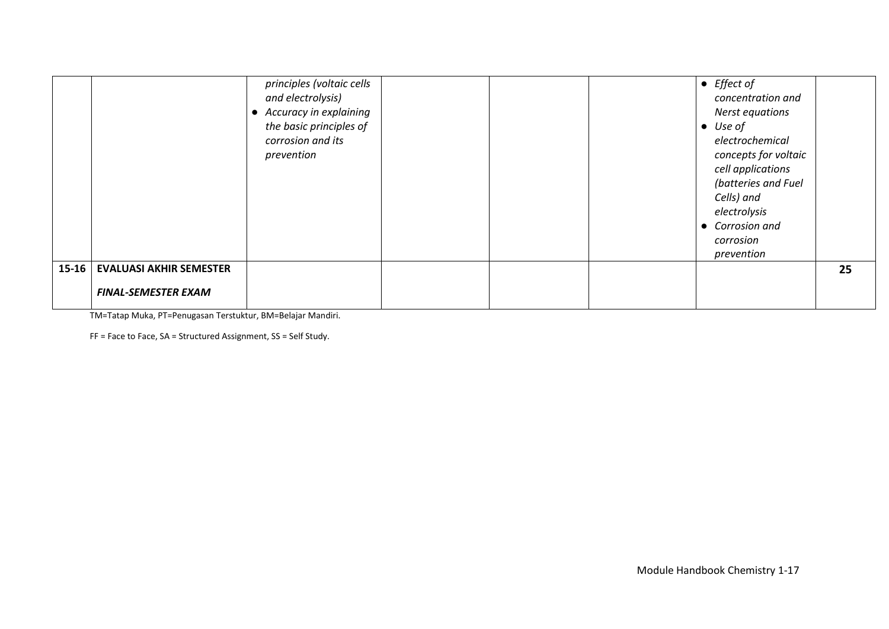|           |                                | principles (voltaic cells<br>and electrolysis)<br>• Accuracy in explaining<br>the basic principles of<br>corrosion and its<br>prevention |  | $\bullet$ Effect of<br>concentration and<br>Nerst equations<br>Use of<br>$\bullet$<br>electrochemical<br>concepts for voltaic<br>cell applications<br>(batteries and Fuel<br>Cells) and<br>electrolysis<br>• Corrosion and<br>corrosion<br>prevention |    |
|-----------|--------------------------------|------------------------------------------------------------------------------------------------------------------------------------------|--|-------------------------------------------------------------------------------------------------------------------------------------------------------------------------------------------------------------------------------------------------------|----|
| $15 - 16$ | <b>EVALUASI AKHIR SEMESTER</b> |                                                                                                                                          |  |                                                                                                                                                                                                                                                       | 25 |
|           | <b>FINAL-SEMESTER EXAM</b>     |                                                                                                                                          |  |                                                                                                                                                                                                                                                       |    |

TM=Tatap Muka, PT=Penugasan Terstuktur, BM=Belajar Mandiri.

FF = Face to Face, SA = Structured Assignment, SS = Self Study.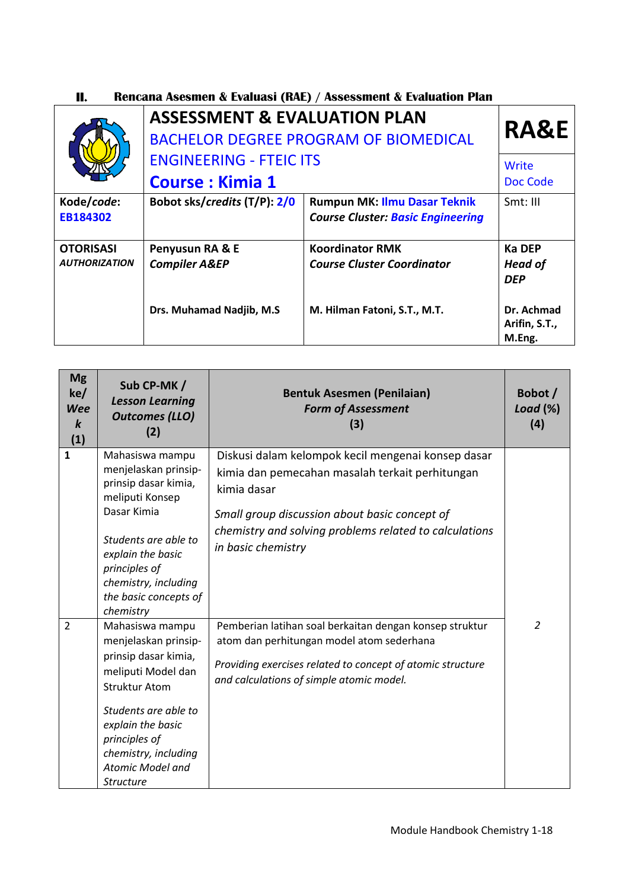| II. | <b>Rencana Asesmen &amp; Evaluasi (RAE) / Assessment &amp; Evaluation Plan</b> |  |
|-----|--------------------------------------------------------------------------------|--|
|     |                                                                                |  |

|                                          | <b>ASSESSMENT &amp; EVALUATION PLAN</b>                  | <b>BACHELOR DEGREE PROGRAM OF BIOMEDICAL</b>                                    | <b>RA&amp;E</b>                        |
|------------------------------------------|----------------------------------------------------------|---------------------------------------------------------------------------------|----------------------------------------|
|                                          | <b>ENGINEERING - FTEIC ITS</b><br><b>Course: Kimia 1</b> | Write<br>Doc Code                                                               |                                        |
| Kode/code:<br>EB184302                   | Bobot sks/credits (T/P): 2/0                             | <b>Rumpun MK: Ilmu Dasar Teknik</b><br><b>Course Cluster: Basic Engineering</b> | $Smt$ : III                            |
| <b>OTORISASI</b><br><b>AUTHORIZATION</b> | Penyusun RA & E<br><b>Compiler A&amp;EP</b>              | <b>Koordinator RMK</b><br><b>Course Cluster Coordinator</b>                     | Ka DEP<br><b>Head of</b><br><b>DEP</b> |
|                                          | Drs. Muhamad Nadjib, M.S                                 | M. Hilman Fatoni, S.T., M.T.                                                    | Dr. Achmad<br>Arifin, S.T.,<br>M.Eng.  |

| <b>Mg</b><br>ke/<br><b>Wee</b><br>$\boldsymbol{k}$<br>(1) | Sub CP-MK /<br><b>Lesson Learning</b><br><b>Outcomes (LLO)</b><br>(2)                                                                                                                                                                       | <b>Bentuk Asesmen (Penilaian)</b><br><b>Form of Assessment</b><br>(3)                                                                                                                                                                                 | Bobot /<br>Load $(\%)$<br>(4) |
|-----------------------------------------------------------|---------------------------------------------------------------------------------------------------------------------------------------------------------------------------------------------------------------------------------------------|-------------------------------------------------------------------------------------------------------------------------------------------------------------------------------------------------------------------------------------------------------|-------------------------------|
| 1                                                         | Mahasiswa mampu<br>menjelaskan prinsip-<br>prinsip dasar kimia,<br>meliputi Konsep<br>Dasar Kimia<br>Students are able to<br>explain the basic<br>principles of<br>chemistry, including<br>the basic concepts of<br>chemistry               | Diskusi dalam kelompok kecil mengenai konsep dasar<br>kimia dan pemecahan masalah terkait perhitungan<br>kimia dasar<br>Small group discussion about basic concept of<br>chemistry and solving problems related to calculations<br>in basic chemistry |                               |
| $\overline{2}$                                            | Mahasiswa mampu<br>menjelaskan prinsip-<br>prinsip dasar kimia,<br>meliputi Model dan<br><b>Struktur Atom</b><br>Students are able to<br>explain the basic<br>principles of<br>chemistry, including<br>Atomic Model and<br><b>Structure</b> | Pemberian latihan soal berkaitan dengan konsep struktur<br>atom dan perhitungan model atom sederhana<br>Providing exercises related to concept of atomic structure<br>and calculations of simple atomic model.                                        | 2                             |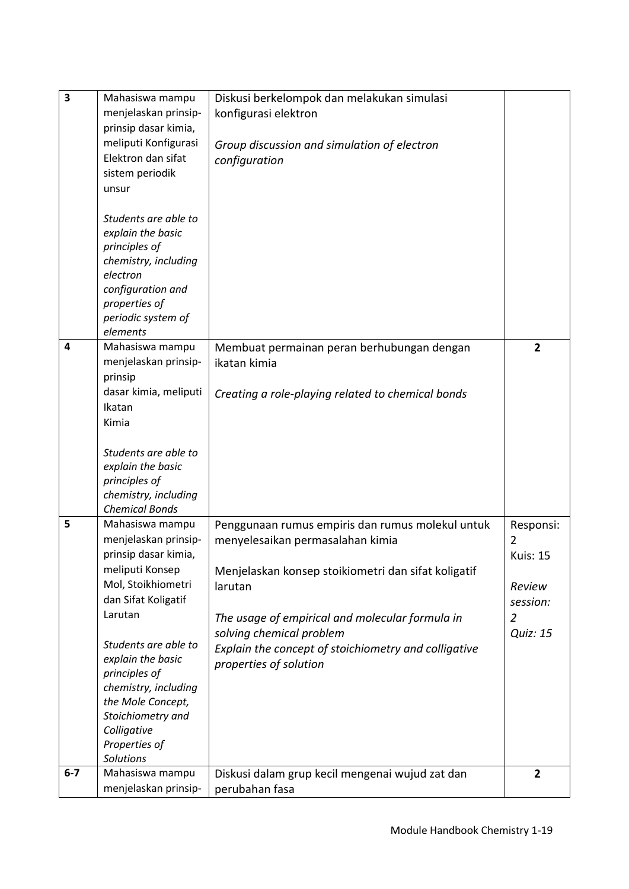| 3     | Mahasiswa mampu<br>menjelaskan prinsip-<br>prinsip dasar kimia,<br>meliputi Konfigurasi<br>Elektron dan sifat<br>sistem periodik<br>unsur<br>Students are able to<br>explain the basic<br>principles of<br>chemistry, including<br>electron<br>configuration and<br>properties of<br>periodic system of<br>elements     | Diskusi berkelompok dan melakukan simulasi<br>konfigurasi elektron<br>Group discussion and simulation of electron<br>configuration                                                                                                                                                                                      |                                                                                              |
|-------|-------------------------------------------------------------------------------------------------------------------------------------------------------------------------------------------------------------------------------------------------------------------------------------------------------------------------|-------------------------------------------------------------------------------------------------------------------------------------------------------------------------------------------------------------------------------------------------------------------------------------------------------------------------|----------------------------------------------------------------------------------------------|
| 4     | Mahasiswa mampu<br>menjelaskan prinsip-<br>prinsip<br>dasar kimia, meliputi<br>Ikatan<br>Kimia<br>Students are able to<br>explain the basic<br>principles of<br>chemistry, including<br><b>Chemical Bonds</b>                                                                                                           | Membuat permainan peran berhubungan dengan<br>ikatan kimia<br>Creating a role-playing related to chemical bonds                                                                                                                                                                                                         | $\overline{2}$                                                                               |
| 5     | Mahasiswa mampu<br>menjelaskan prinsip-<br>prinsip dasar kimia,<br>meliputi Konsep<br>Mol, Stoikhiometri<br>dan Sifat Koligatif<br>Larutan<br>Students are able to<br>explain the basic<br>principles of<br>chemistry, including<br>the Mole Concept,<br>Stoichiometry and<br>Colligative<br>Properties of<br>Solutions | Penggunaan rumus empiris dan rumus molekul untuk<br>menyelesaikan permasalahan kimia<br>Menjelaskan konsep stoikiometri dan sifat koligatif<br>larutan<br>The usage of empirical and molecular formula in<br>solving chemical problem<br>Explain the concept of stoichiometry and colligative<br>properties of solution | Responsi:<br>2<br><b>Kuis: 15</b><br>Review<br>session:<br>$\overline{2}$<br><b>Quiz: 15</b> |
| $6-7$ | Mahasiswa mampu<br>menjelaskan prinsip-                                                                                                                                                                                                                                                                                 | Diskusi dalam grup kecil mengenai wujud zat dan<br>perubahan fasa                                                                                                                                                                                                                                                       | $\mathbf{2}$                                                                                 |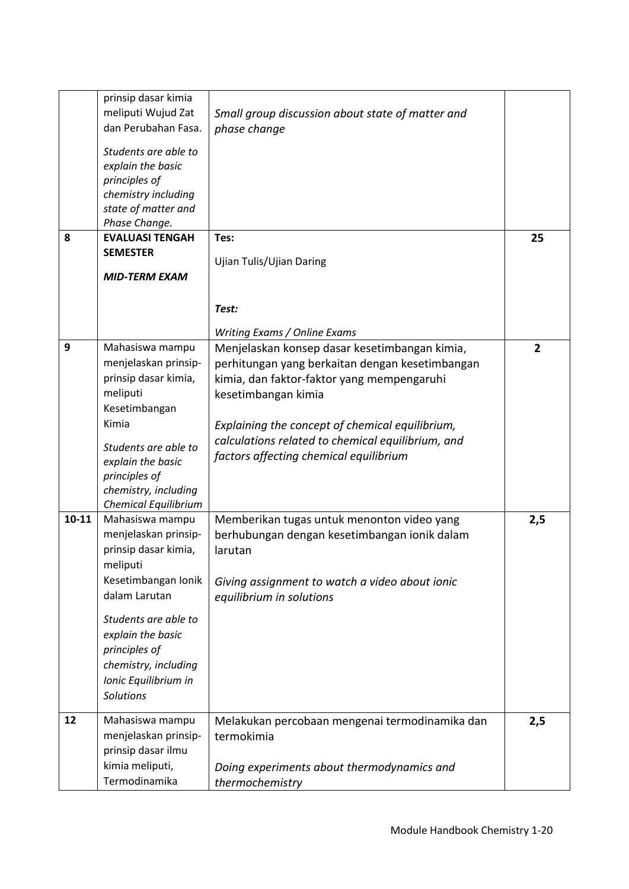|           | prinsip dasar kimia         |                                                   |     |
|-----------|-----------------------------|---------------------------------------------------|-----|
|           | meliputi Wujud Zat          | Small group discussion about state of matter and  |     |
|           | dan Perubahan Fasa.         | phase change                                      |     |
|           |                             |                                                   |     |
|           | Students are able to        |                                                   |     |
|           | explain the basic           |                                                   |     |
|           | principles of               |                                                   |     |
|           | chemistry including         |                                                   |     |
|           | state of matter and         |                                                   |     |
|           | Phase Change.               |                                                   |     |
| 8         | <b>EVALUASI TENGAH</b>      | Tes:                                              | 25  |
|           | <b>SEMESTER</b>             | Ujian Tulis/Ujian Daring                          |     |
|           |                             |                                                   |     |
|           | <b>MID-TERM EXAM</b>        |                                                   |     |
|           |                             |                                                   |     |
|           |                             | Test:                                             |     |
|           |                             | Writing Exams / Online Exams                      |     |
| 9         | Mahasiswa mampu             | Menjelaskan konsep dasar kesetimbangan kimia,     | 2   |
|           |                             |                                                   |     |
|           | menjelaskan prinsip-        | perhitungan yang berkaitan dengan kesetimbangan   |     |
|           | prinsip dasar kimia,        | kimia, dan faktor-faktor yang mempengaruhi        |     |
|           | meliputi                    | kesetimbangan kimia                               |     |
|           | Kesetimbangan               |                                                   |     |
|           | Kimia                       | Explaining the concept of chemical equilibrium,   |     |
|           | Students are able to        | calculations related to chemical equilibrium, and |     |
|           | explain the basic           | factors affecting chemical equilibrium            |     |
|           | principles of               |                                                   |     |
|           | chemistry, including        |                                                   |     |
|           | <b>Chemical Equilibrium</b> |                                                   |     |
| $10 - 11$ | Mahasiswa mampu             | Memberikan tugas untuk menonton video yang        | 2,5 |
|           | menjelaskan prinsip-        | berhubungan dengan kesetimbangan ionik dalam      |     |
|           | prinsip dasar kimia,        | larutan                                           |     |
|           | meliputi                    |                                                   |     |
|           |                             |                                                   |     |
|           | Kesetimbangan Ionik         | Giving assignment to watch a video about ionic    |     |
|           | dalam Larutan               | equilibrium in solutions                          |     |
|           | Students are able to        |                                                   |     |
|           | explain the basic           |                                                   |     |
|           | principles of               |                                                   |     |
|           | chemistry, including        |                                                   |     |
|           | Ionic Equilibrium in        |                                                   |     |
|           | <b>Solutions</b>            |                                                   |     |
|           |                             |                                                   |     |
| 12        | Mahasiswa mampu             | Melakukan percobaan mengenai termodinamika dan    | 2,5 |
|           | menjelaskan prinsip-        | termokimia                                        |     |
|           | prinsip dasar ilmu          |                                                   |     |
|           | kimia meliputi,             | Doing experiments about thermodynamics and        |     |
|           | Termodinamika               | thermochemistry                                   |     |
|           |                             |                                                   |     |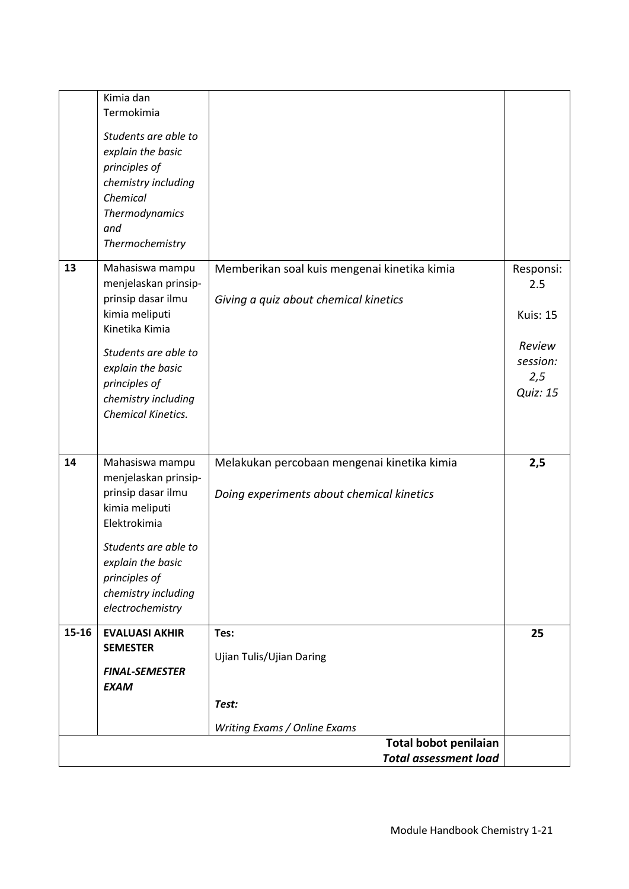|       | Kimia dan<br>Termokimia<br>Students are able to<br>explain the basic<br>principles of<br>chemistry including<br>Chemical<br>Thermodynamics<br>and<br>Thermochemistry                                         |                                                                                          |                                                                                     |
|-------|--------------------------------------------------------------------------------------------------------------------------------------------------------------------------------------------------------------|------------------------------------------------------------------------------------------|-------------------------------------------------------------------------------------|
| 13    | Mahasiswa mampu<br>menjelaskan prinsip-<br>prinsip dasar ilmu<br>kimia meliputi<br>Kinetika Kimia<br>Students are able to<br>explain the basic<br>principles of<br>chemistry including<br>Chemical Kinetics. | Memberikan soal kuis mengenai kinetika kimia<br>Giving a quiz about chemical kinetics    | Responsi:<br>2.5<br><b>Kuis: 15</b><br>Review<br>session:<br>2,5<br><b>Quiz: 15</b> |
| 14    | Mahasiswa mampu<br>menjelaskan prinsip-<br>prinsip dasar ilmu<br>kimia meliputi<br>Elektrokimia<br>Students are able to<br>explain the basic<br>principles of<br>chemistry including<br>electrochemistry     | Melakukan percobaan mengenai kinetika kimia<br>Doing experiments about chemical kinetics | 2,5                                                                                 |
| 15-16 | <b>EVALUASI AKHIR</b><br><b>SEMESTER</b><br><b>FINAL-SEMESTER</b><br><b>EXAM</b>                                                                                                                             | Tes:<br>Ujian Tulis/Ujian Daring<br>Test:<br>Writing Exams / Online Exams                | 25                                                                                  |
|       |                                                                                                                                                                                                              | Total bobot penilaian<br><b>Total assessment load</b>                                    |                                                                                     |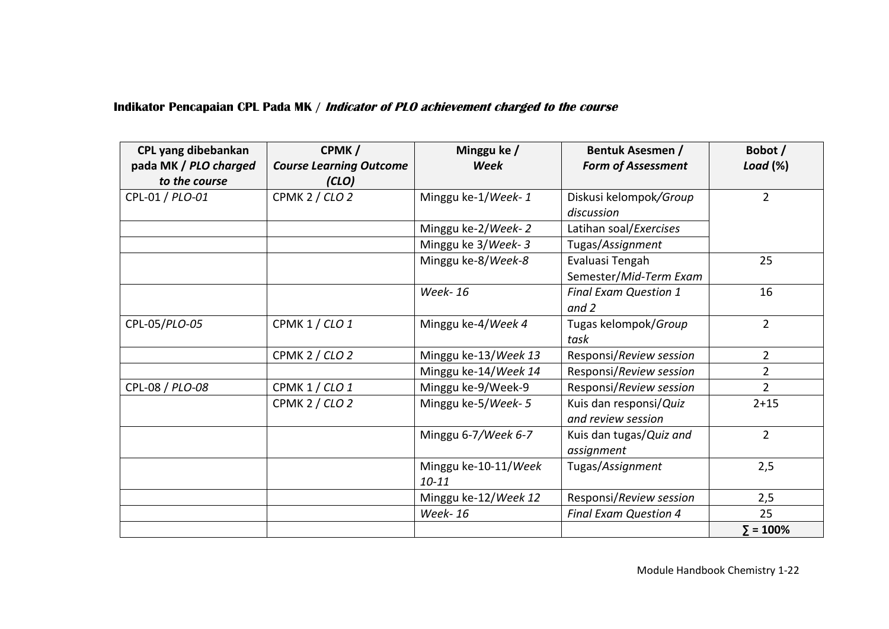#### **Indikator Pencapaian CPL Pada MK / Indicator of PLO achievement charged to the course**

| CPL yang dibebankan   | CPMK/                          | Minggu ke /          | <b>Bentuk Asesmen /</b>      | Bobot /          |
|-----------------------|--------------------------------|----------------------|------------------------------|------------------|
| pada MK / PLO charged | <b>Course Learning Outcome</b> | <b>Week</b>          | <b>Form of Assessment</b>    | Load $(\%)$      |
| to the course         | (CLO)                          |                      |                              |                  |
| CPL-01 / PLO-01       | CPMK 2 / CLO 2                 | Minggu ke-1/Week-1   | Diskusi kelompok/Group       | $\overline{2}$   |
|                       |                                |                      | discussion                   |                  |
|                       |                                | Minggu ke-2/Week-2   | Latihan soal/Exercises       |                  |
|                       |                                | Minggu ke 3/Week-3   | Tugas/Assignment             |                  |
|                       |                                | Minggu ke-8/Week-8   | Evaluasi Tengah              | 25               |
|                       |                                |                      | Semester/Mid-Term Exam       |                  |
|                       |                                | <b>Week-16</b>       | <b>Final Exam Question 1</b> | 16               |
|                       |                                |                      | and $2$                      |                  |
| CPL-05/PLO-05         | CPMK 1 / CLO 1                 | Minggu ke-4/Week 4   | Tugas kelompok/Group         | $\overline{2}$   |
|                       |                                |                      | task                         |                  |
|                       | <b>CPMK 2 / CLO 2</b>          | Minggu ke-13/Week 13 | Responsi/Review session      | $\overline{2}$   |
|                       |                                | Minggu ke-14/Week 14 | Responsi/Review session      | 2                |
| CPL-08 / PLO-08       | CPMK 1 / CLO 1                 | Minggu ke-9/Week-9   | Responsi/Review session      | $\overline{2}$   |
|                       | CPMK 2 / CLO 2                 | Minggu ke-5/Week- 5  | Kuis dan responsi/Quiz       | $2 + 15$         |
|                       |                                |                      | and review session           |                  |
|                       |                                | Minggu 6-7/Week 6-7  | Kuis dan tugas/Quiz and      | $\overline{2}$   |
|                       |                                |                      | assignment                   |                  |
|                       |                                | Minggu ke-10-11/Week | Tugas/Assignment             | 2,5              |
|                       |                                | $10 - 11$            |                              |                  |
|                       |                                | Minggu ke-12/Week 12 | Responsi/Review session      | 2,5              |
|                       |                                | <b>Week-16</b>       | <b>Final Exam Question 4</b> | 25               |
|                       |                                |                      |                              | $\Sigma = 100\%$ |

Module Handbook Chemistry 1-22